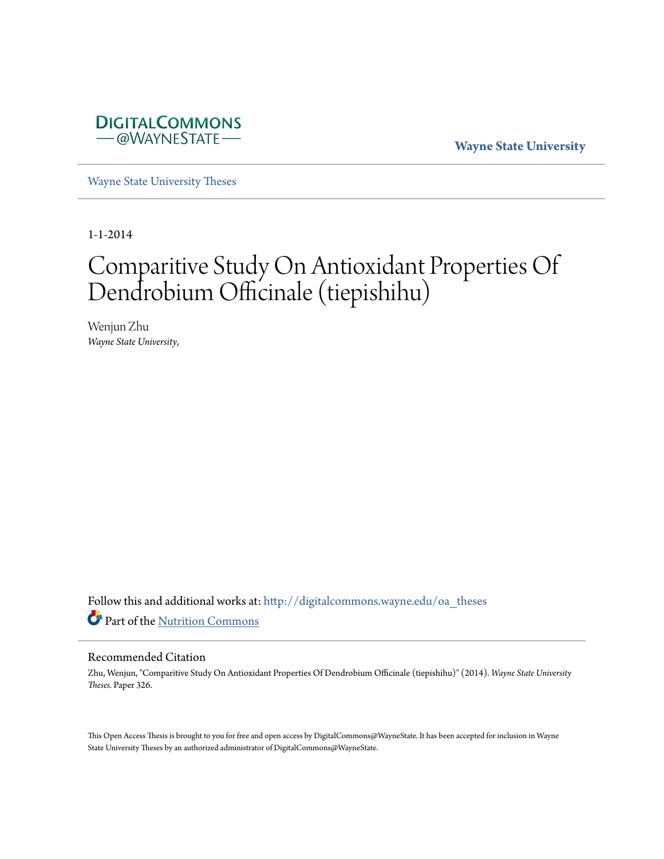

**Wayne State University**

[Wayne State University Theses](http://digitalcommons.wayne.edu/oa_theses?utm_source=digitalcommons.wayne.edu%2Foa_theses%2F326&utm_medium=PDF&utm_campaign=PDFCoverPages)

1-1-2014

# Comparitive Study On Antioxidant Properties Of Dendrobium Officinale (tiepishihu)

Wenjun Zhu *Wayne State University*,

Follow this and additional works at: [http://digitalcommons.wayne.edu/oa\\_theses](http://digitalcommons.wayne.edu/oa_theses?utm_source=digitalcommons.wayne.edu%2Foa_theses%2F326&utm_medium=PDF&utm_campaign=PDFCoverPages) Part of the [Nutrition Commons](http://network.bepress.com/hgg/discipline/95?utm_source=digitalcommons.wayne.edu%2Foa_theses%2F326&utm_medium=PDF&utm_campaign=PDFCoverPages)

#### Recommended Citation

Zhu, Wenjun, "Comparitive Study On Antioxidant Properties Of Dendrobium Officinale (tiepishihu)" (2014). *Wayne State University Theses.* Paper 326.

This Open Access Thesis is brought to you for free and open access by DigitalCommons@WayneState. It has been accepted for inclusion in Wayne State University Theses by an authorized administrator of DigitalCommons@WayneState.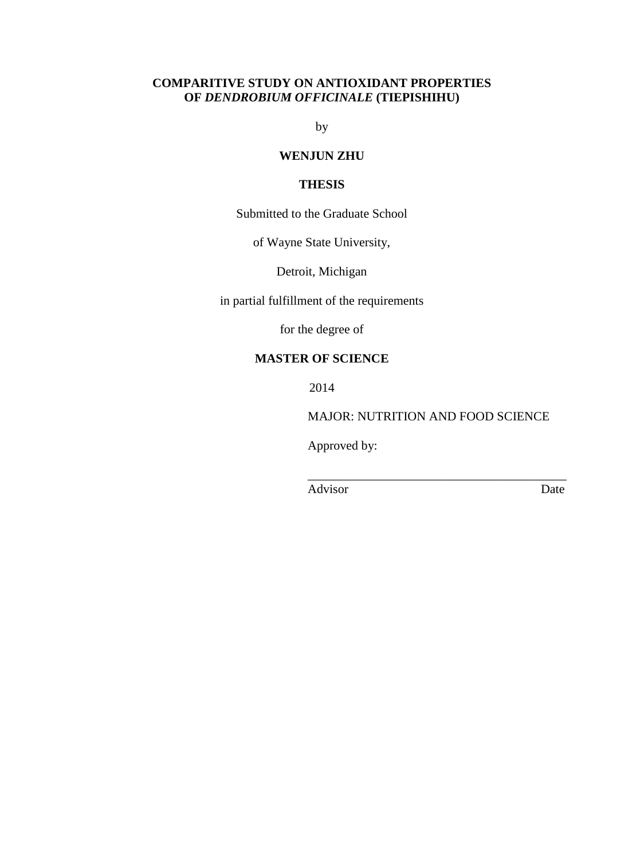### **COMPARITIVE STUDY ON ANTIOXIDANT PROPERTIES OF** *DENDROBIUM OFFICINALE* **(TIEPISHIHU)**

by

## **WENJUN ZHU**

#### **THESIS**

Submitted to the Graduate School

of Wayne State University,

Detroit, Michigan

in partial fulfillment of the requirements

for the degree of

# **MASTER OF SCIENCE**

2014

MAJOR: NUTRITION AND FOOD SCIENCE

\_\_\_\_\_\_\_\_\_\_\_\_\_\_\_\_\_\_\_\_\_\_\_\_\_\_\_\_\_\_\_\_\_\_\_\_\_\_\_\_\_

Approved by:

Advisor Date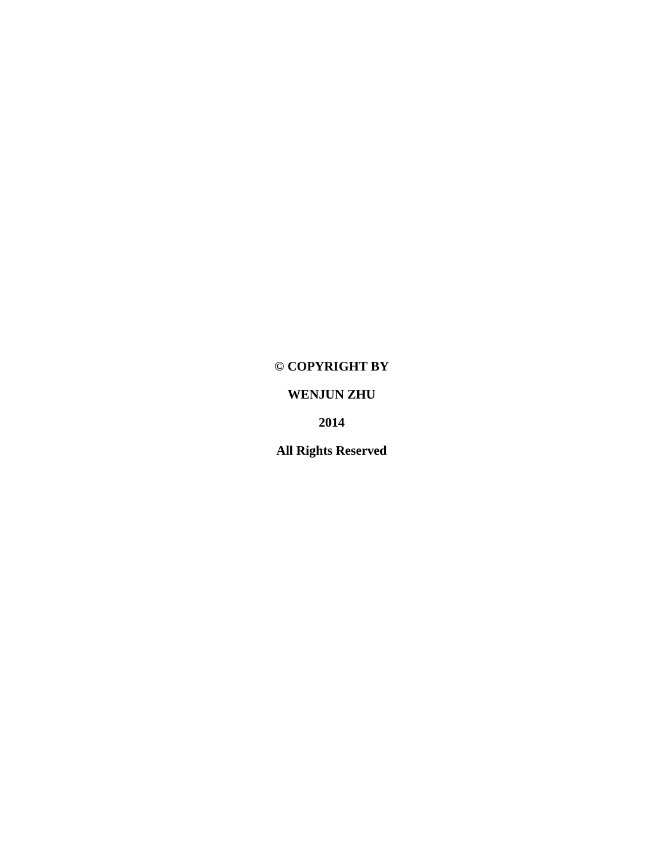# **© COPYRIGHT BY**

# **WENJUN ZHU**

**2014**

**All Rights Reserved**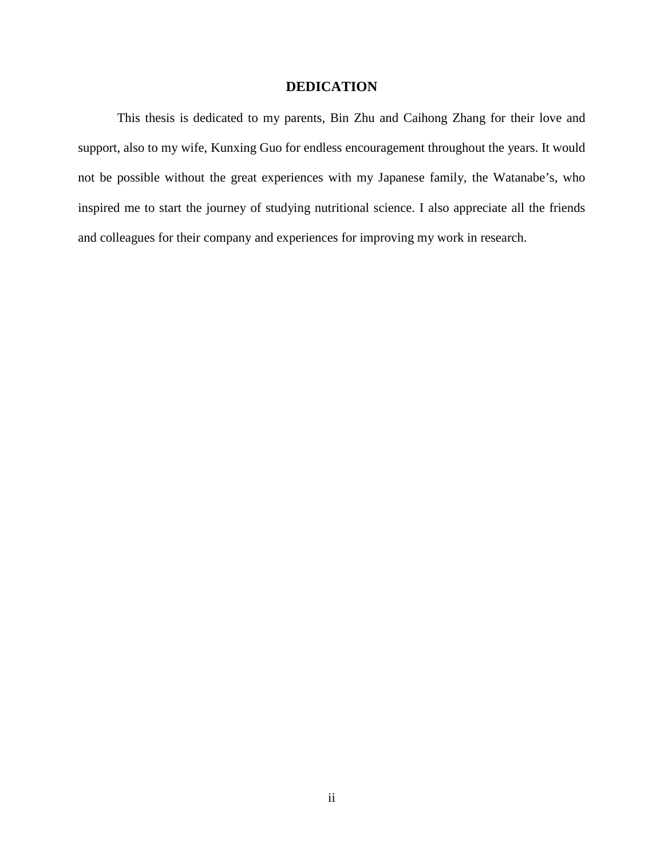## **DEDICATION**

<span id="page-3-0"></span>This thesis is dedicated to my parents, Bin Zhu and Caihong Zhang for their love and support, also to my wife, Kunxing Guo for endless encouragement throughout the years. It would not be possible without the great experiences with my Japanese family, the Watanabe's, who inspired me to start the journey of studying nutritional science. I also appreciate all the friends and colleagues for their company and experiences for improving my work in research.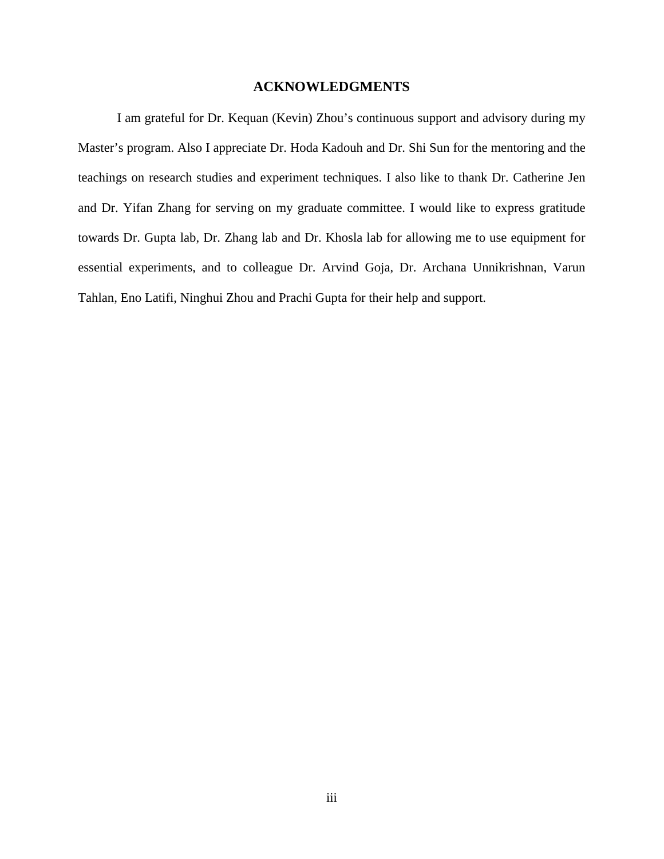#### **ACKNOWLEDGMENTS**

<span id="page-4-0"></span>I am grateful for Dr. Kequan (Kevin) Zhou's continuous support and advisory during my Master's program. Also I appreciate Dr. Hoda Kadouh and Dr. Shi Sun for the mentoring and the teachings on research studies and experiment techniques. I also like to thank Dr. Catherine Jen and Dr. Yifan Zhang for serving on my graduate committee. I would like to express gratitude towards Dr. Gupta lab, Dr. Zhang lab and Dr. Khosla lab for allowing me to use equipment for essential experiments, and to colleague Dr. Arvind Goja, Dr. Archana Unnikrishnan, Varun Tahlan, Eno Latifi, Ninghui Zhou and Prachi Gupta for their help and support.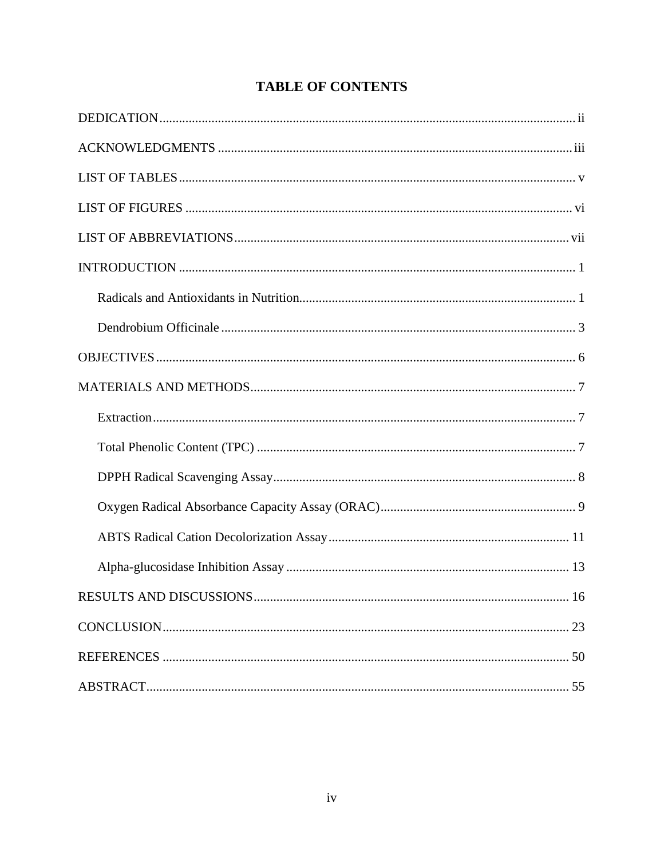# **TABLE OF CONTENTS**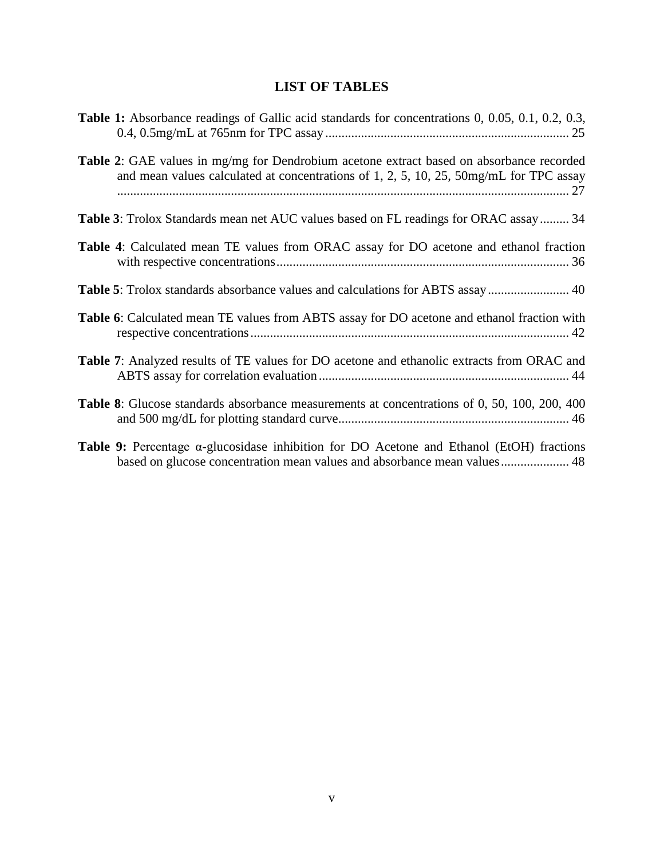# **LIST OF TABLES**

<span id="page-6-0"></span>

| <b>Table 1:</b> Absorbance readings of Gallic acid standards for concentrations 0, 0.05, 0.1, 0.2, 0.3,                                                                                      |
|----------------------------------------------------------------------------------------------------------------------------------------------------------------------------------------------|
| <b>Table 2:</b> GAE values in mg/mg for Dendrobium acetone extract based on absorbance recorded<br>and mean values calculated at concentrations of $1, 2, 5, 10, 25, 50$ mg/mL for TPC assay |
| Table 3: Trolox Standards mean net AUC values based on FL readings for ORAC assay  34                                                                                                        |
| Table 4: Calculated mean TE values from ORAC assay for DO acetone and ethanol fraction                                                                                                       |
|                                                                                                                                                                                              |
| Table 6: Calculated mean TE values from ABTS assay for DO acetone and ethanol fraction with                                                                                                  |
| Table 7: Analyzed results of TE values for DO acetone and ethanolic extracts from ORAC and                                                                                                   |
| Table 8: Glucose standards absorbance measurements at concentrations of 0, 50, 100, 200, 400                                                                                                 |
| <b>Table 9:</b> Percentage $\alpha$ -glucosidase inhibition for DO Acetone and Ethanol (EtOH) fractions<br>based on glucose concentration mean values and absorbance mean values 48          |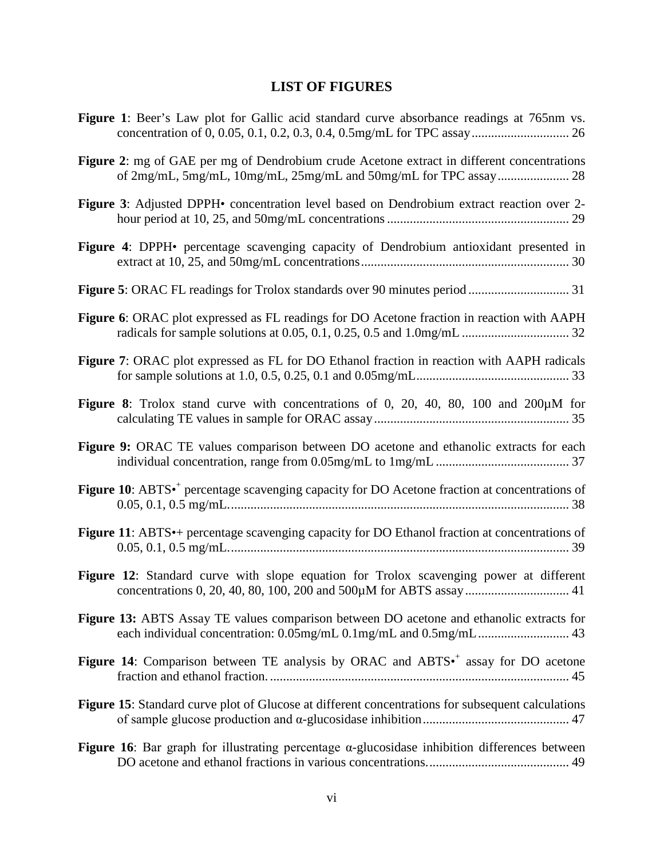# **LIST OF FIGURES**

<span id="page-7-0"></span>

| <b>Figure 1:</b> Beer's Law plot for Gallic acid standard curve absorbance readings at 765nm vs.                 |
|------------------------------------------------------------------------------------------------------------------|
| Figure 2: mg of GAE per mg of Dendrobium crude Acetone extract in different concentrations                       |
| Figure 3: Adjusted DPPH• concentration level based on Dendrobium extract reaction over 2-                        |
| Figure 4: DPPH• percentage scavenging capacity of Dendrobium antioxidant presented in                            |
|                                                                                                                  |
| Figure 6: ORAC plot expressed as FL readings for DO Acetone fraction in reaction with AAPH                       |
| Figure 7: ORAC plot expressed as FL for DO Ethanol fraction in reaction with AAPH radicals                       |
| Figure 8: Trolox stand curve with concentrations of 0, 20, 40, 80, 100 and $200\mu$ M for                        |
| Figure 9: ORAC TE values comparison between DO acetone and ethanolic extracts for each                           |
| Figure 10: ABTS <sup>++</sup> percentage scavenging capacity for DO Acetone fraction at concentrations of        |
| <b>Figure 11:</b> ABTS <sup>*+</sup> percentage scavenging capacity for DO Ethanol fraction at concentrations of |
| Figure 12: Standard curve with slope equation for Trolox scavenging power at different                           |
| Figure 13: ABTS Assay TE values comparison between DO acetone and ethanolic extracts for                         |
| <b>Figure 14:</b> Comparison between TE analysis by ORAC and ABTS <sup>*</sup> assay for DO acetone              |
| Figure 15: Standard curve plot of Glucose at different concentrations for subsequent calculations                |
| Figure 16: Bar graph for illustrating percentage $\alpha$ -glucosidase inhibition differences between            |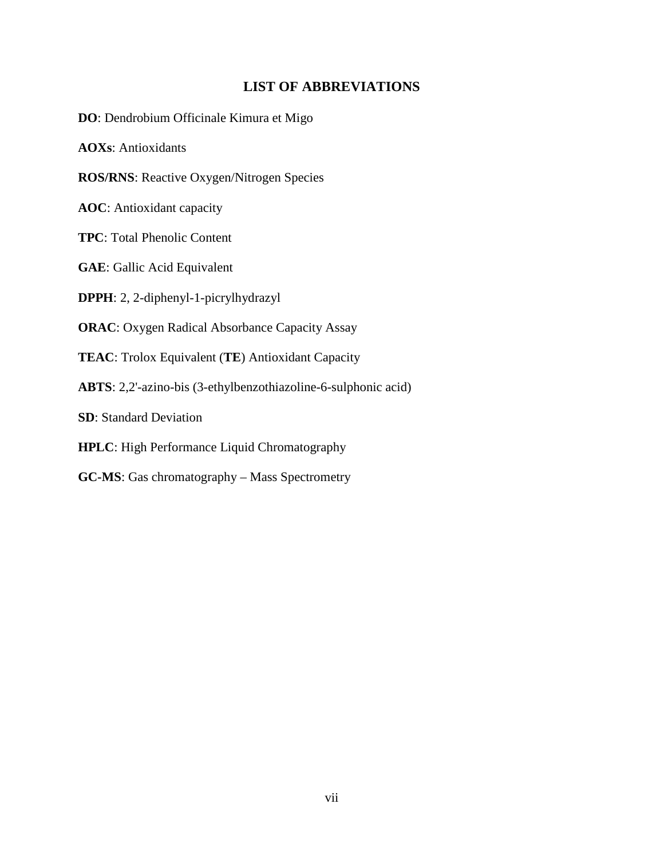## **LIST OF ABBREVIATIONS**

<span id="page-8-0"></span>**DO**: Dendrobium Officinale Kimura et Migo **AOXs**: Antioxidants **ROS/RNS**: Reactive Oxygen/Nitrogen Species **AOC**: Antioxidant capacity **TPC**: Total Phenolic Content **GAE**: Gallic Acid Equivalent **DPPH**: 2, 2-diphenyl-1-picrylhydrazyl **ORAC**: Oxygen Radical Absorbance Capacity Assay **TEAC**: Trolox Equivalent (**TE**) Antioxidant Capacity **ABTS**: 2,2'-azino-bis (3-ethylbenzothiazoline-6-sulphonic acid) **SD**: Standard Deviation **HPLC**: High Performance Liquid Chromatography

**GC-MS**: Gas chromatography – Mass Spectrometry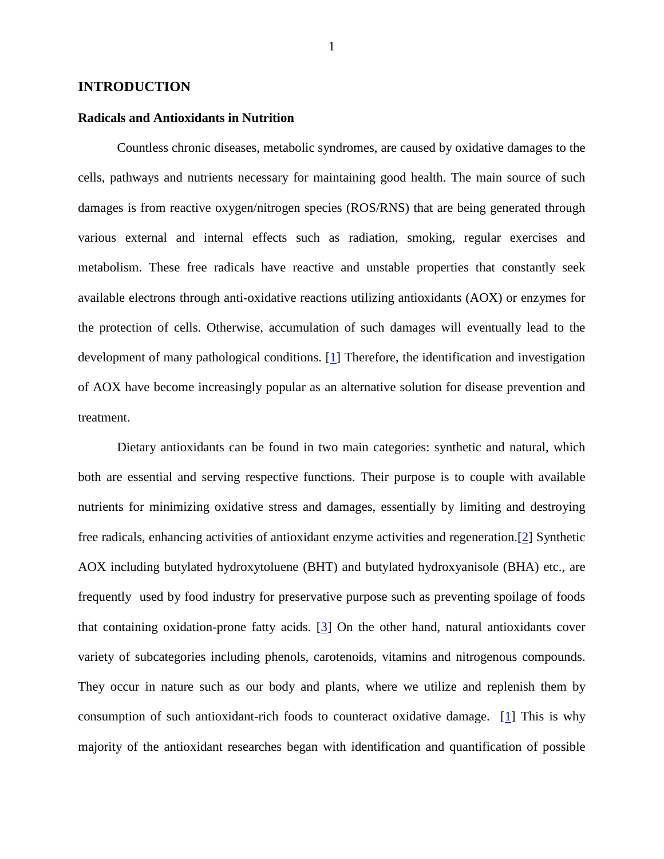#### <span id="page-9-0"></span>**INTRODUCTION**

#### <span id="page-9-1"></span>**Radicals and Antioxidants in Nutrition**

Countless chronic diseases, metabolic syndromes, are caused by oxidative damages to the cells, pathways and nutrients necessary for maintaining good health. The main source of such damages is from reactive oxygen/nitrogen species (ROS/RNS) that are being generated through various external and internal effects such as radiation, smoking, regular exercises and metabolism. These free radicals have reactive and unstable properties that constantly seek available electrons through anti-oxidative reactions utilizing antioxidants (AOX) or enzymes for the protection of cells. Otherwise, accumulation of such damages will eventually lead to the development of many pathological conditions. [\[1\]](#page-58-1) Therefore, the identification and investigation of AOX have become increasingly popular as an alternative solution for disease prevention and treatment.

Dietary antioxidants can be found in two main categories: synthetic and natural, which both are essential and serving respective functions. Their purpose is to couple with available nutrients for minimizing oxidative stress and damages, essentially by limiting and destroying free radicals, enhancing activities of antioxidant enzyme activities and regeneration.[\[2\]](#page-58-2) Synthetic AOX including butylated hydroxytoluene (BHT) and butylated hydroxyanisole (BHA) etc., are frequently used by food industry for preservative purpose such as preventing spoilage of foods that containing oxidation-prone fatty acids. [\[3\]](#page-58-3) On the other hand, natural antioxidants cover variety of subcategories including phenols, carotenoids, vitamins and nitrogenous compounds. They occur in nature such as our body and plants, where we utilize and replenish them by consumption of such antioxidant-rich foods to counteract oxidative damage. [\[1\]](#page-58-1) This is why majority of the antioxidant researches began with identification and quantification of possible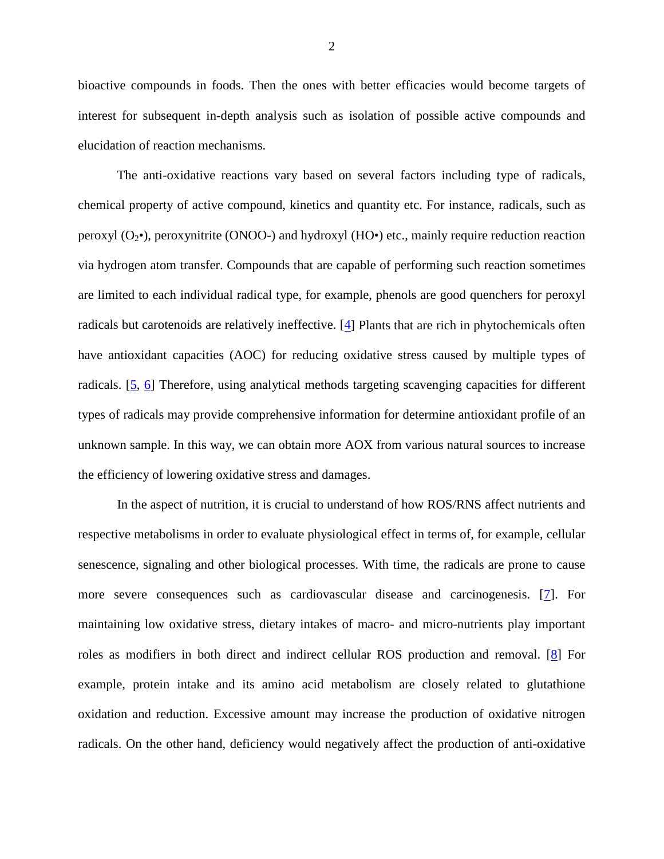bioactive compounds in foods. Then the ones with better efficacies would become targets of interest for subsequent in-depth analysis such as isolation of possible active compounds and elucidation of reaction mechanisms.

The anti-oxidative reactions vary based on several factors including type of radicals, chemical property of active compound, kinetics and quantity etc. For instance, radicals, such as peroxyl  $(O_2\bullet)$ , peroxynitrite (ONOO-) and hydroxyl (HO $\bullet$ ) etc., mainly require reduction reaction via hydrogen atom transfer. Compounds that are capable of performing such reaction sometimes are limited to each individual radical type, for example, phenols are good quenchers for peroxyl radicals but carotenoids are relatively ineffective. [\[4\]](#page-58-4) Plants that are rich in phytochemicals often have antioxidant capacities (AOC) for reducing oxidative stress caused by multiple types of radicals. [\[5,](#page-58-5) [6\]](#page-58-6) Therefore, using analytical methods targeting scavenging capacities for different types of radicals may provide comprehensive information for determine antioxidant profile of an unknown sample. In this way, we can obtain more AOX from various natural sources to increase the efficiency of lowering oxidative stress and damages.

In the aspect of nutrition, it is crucial to understand of how ROS/RNS affect nutrients and respective metabolisms in order to evaluate physiological effect in terms of, for example, cellular senescence, signaling and other biological processes. With time, the radicals are prone to cause more severe consequences such as cardiovascular disease and carcinogenesis. [\[7\]](#page-58-7). For maintaining low oxidative stress, dietary intakes of macro- and micro-nutrients play important roles as modifiers in both direct and indirect cellular ROS production and removal. [\[8\]](#page-58-8) For example, protein intake and its amino acid metabolism are closely related to glutathione oxidation and reduction. Excessive amount may increase the production of oxidative nitrogen radicals. On the other hand, deficiency would negatively affect the production of anti-oxidative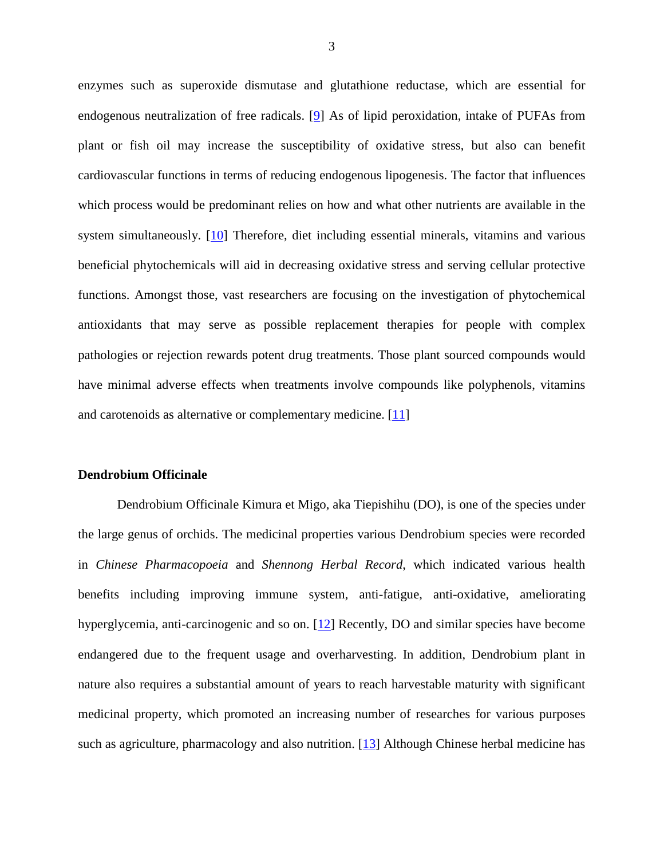enzymes such as superoxide dismutase and glutathione reductase, which are essential for endogenous neutralization of free radicals. [\[9\]](#page-58-9) As of lipid peroxidation, intake of PUFAs from plant or fish oil may increase the susceptibility of oxidative stress, but also can benefit cardiovascular functions in terms of reducing endogenous lipogenesis. The factor that influences which process would be predominant relies on how and what other nutrients are available in the system simultaneously. [\[10\]](#page-58-10) Therefore, diet including essential minerals, vitamins and various beneficial phytochemicals will aid in decreasing oxidative stress and serving cellular protective functions. Amongst those, vast researchers are focusing on the investigation of phytochemical antioxidants that may serve as possible replacement therapies for people with complex pathologies or rejection rewards potent drug treatments. Those plant sourced compounds would have minimal adverse effects when treatments involve compounds like polyphenols, vitamins and carotenoids as alternative or complementary medicine. [\[11\]](#page-59-0)

#### <span id="page-11-0"></span>**Dendrobium Officinale**

Dendrobium Officinale Kimura et Migo, aka Tiepishihu (DO), is one of the species under the large genus of orchids. The medicinal properties various Dendrobium species were recorded in *Chinese Pharmacopoeia* and *Shennong Herbal Record*, which indicated various health benefits including improving immune system, anti-fatigue, anti-oxidative, ameliorating hyperglycemia, anti-carcinogenic and so on. [\[12\]](#page-59-1) Recently, DO and similar species have become endangered due to the frequent usage and overharvesting. In addition, Dendrobium plant in nature also requires a substantial amount of years to reach harvestable maturity with significant medicinal property, which promoted an increasing number of researches for various purposes such as agriculture, pharmacology and also nutrition. [\[13\]](#page-59-2) Although Chinese herbal medicine has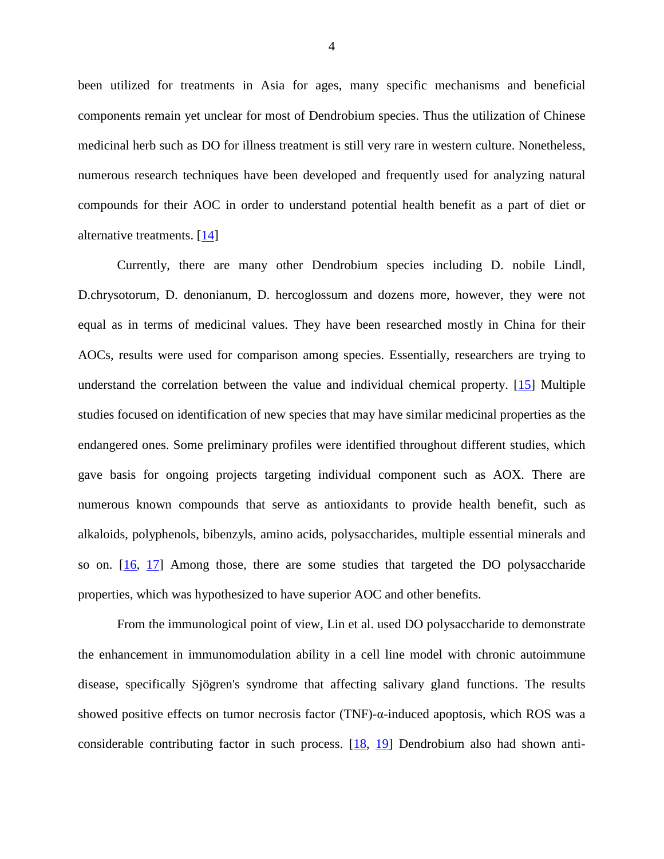been utilized for treatments in Asia for ages, many specific mechanisms and beneficial components remain yet unclear for most of Dendrobium species. Thus the utilization of Chinese medicinal herb such as DO for illness treatment is still very rare in western culture. Nonetheless, numerous research techniques have been developed and frequently used for analyzing natural compounds for their AOC in order to understand potential health benefit as a part of diet or alternative treatments. [\[14\]](#page-59-3)

Currently, there are many other Dendrobium species including D. nobile Lindl, D.chrysotorum, D. denonianum, D. hercoglossum and dozens more, however, they were not equal as in terms of medicinal values. They have been researched mostly in China for their AOCs, results were used for comparison among species. Essentially, researchers are trying to understand the correlation between the value and individual chemical property. [\[15\]](#page-59-4) Multiple studies focused on identification of new species that may have similar medicinal properties as the endangered ones. Some preliminary profiles were identified throughout different studies, which gave basis for ongoing projects targeting individual component such as AOX. There are numerous known compounds that serve as antioxidants to provide health benefit, such as alkaloids, polyphenols, bibenzyls, amino acids, polysaccharides, multiple essential minerals and so on. [\[16,](#page-59-5) [17\]](#page-59-6) Among those, there are some studies that targeted the DO polysaccharide properties, which was hypothesized to have superior AOC and other benefits.

From the immunological point of view, Lin et al. used DO polysaccharide to demonstrate the enhancement in immunomodulation ability in a cell line model with chronic autoimmune disease, specifically Sjögren's syndrome that affecting salivary gland functions. The results showed positive effects on tumor necrosis factor  $(TNF)$ - $\alpha$ -induced apoptosis, which ROS was a considerable contributing factor in such process. [\[18,](#page-59-7) [19\]](#page-59-8) Dendrobium also had shown anti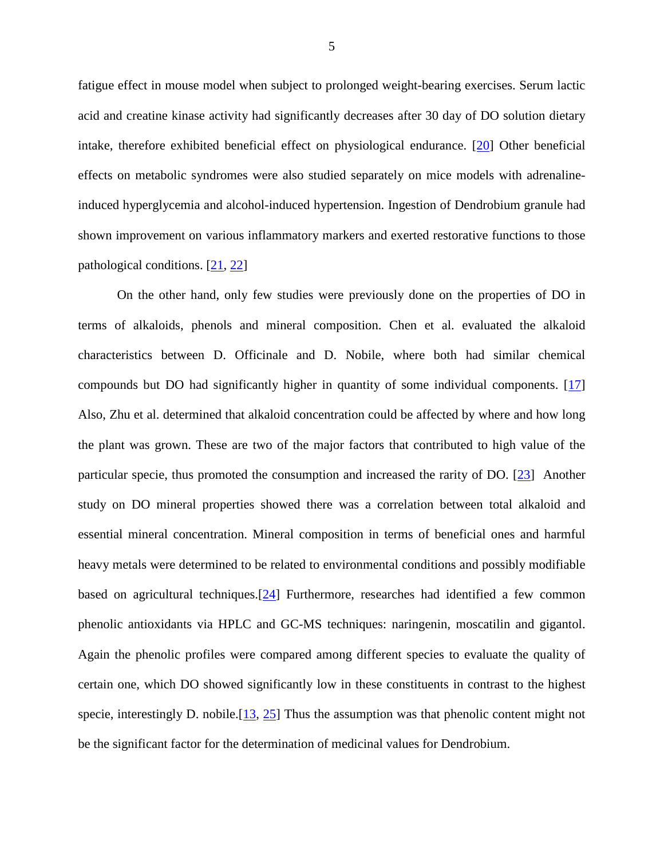fatigue effect in mouse model when subject to prolonged weight-bearing exercises. Serum lactic acid and creatine kinase activity had significantly decreases after 30 day of DO solution dietary intake, therefore exhibited beneficial effect on physiological endurance. [\[20\]](#page-60-0) Other beneficial effects on metabolic syndromes were also studied separately on mice models with adrenalineinduced hyperglycemia and alcohol-induced hypertension. Ingestion of Dendrobium granule had shown improvement on various inflammatory markers and exerted restorative functions to those pathological conditions. [\[21,](#page-60-1) [22\]](#page-60-2)

On the other hand, only few studies were previously done on the properties of DO in terms of alkaloids, phenols and mineral composition. Chen et al. evaluated the alkaloid characteristics between D. Officinale and D. Nobile, where both had similar chemical compounds but DO had significantly higher in quantity of some individual components. [\[17\]](#page-59-6) Also, Zhu et al. determined that alkaloid concentration could be affected by where and how long the plant was grown. These are two of the major factors that contributed to high value of the particular specie, thus promoted the consumption and increased the rarity of DO. [\[23\]](#page-60-3) Another study on DO mineral properties showed there was a correlation between total alkaloid and essential mineral concentration. Mineral composition in terms of beneficial ones and harmful heavy metals were determined to be related to environmental conditions and possibly modifiable based on agricultural techniques.[\[24\]](#page-60-4) Furthermore, researches had identified a few common phenolic antioxidants via HPLC and GC-MS techniques: naringenin, moscatilin and gigantol. Again the phenolic profiles were compared among different species to evaluate the quality of certain one, which DO showed significantly low in these constituents in contrast to the highest specie, interestingly D. nobile.[\[13,](#page-59-2) [25\]](#page-60-5) Thus the assumption was that phenolic content might not be the significant factor for the determination of medicinal values for Dendrobium.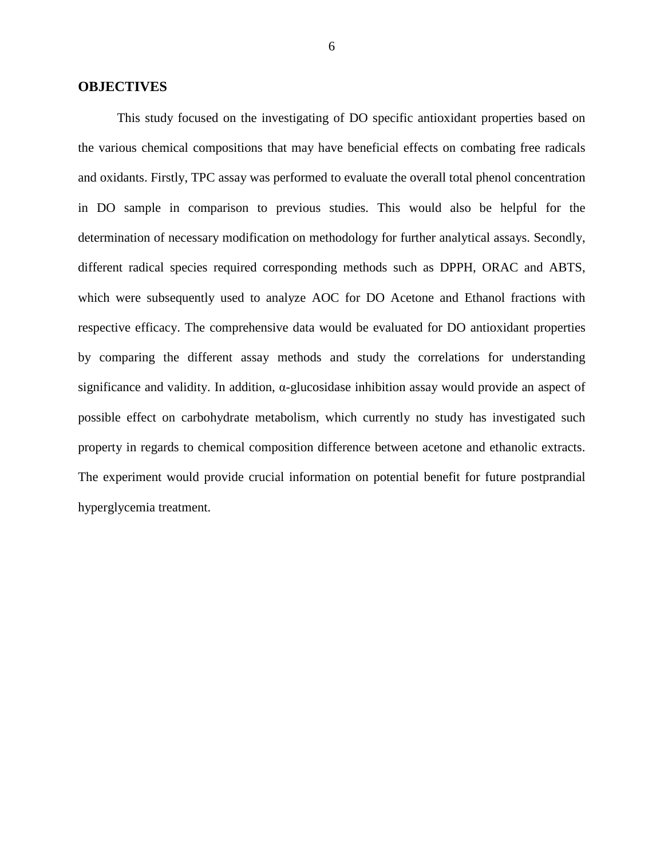#### <span id="page-14-0"></span>**OBJECTIVES**

This study focused on the investigating of DO specific antioxidant properties based on the various chemical compositions that may have beneficial effects on combating free radicals and oxidants. Firstly, TPC assay was performed to evaluate the overall total phenol concentration in DO sample in comparison to previous studies. This would also be helpful for the determination of necessary modification on methodology for further analytical assays. Secondly, different radical species required corresponding methods such as DPPH, ORAC and ABTS, which were subsequently used to analyze AOC for DO Acetone and Ethanol fractions with respective efficacy. The comprehensive data would be evaluated for DO antioxidant properties by comparing the different assay methods and study the correlations for understanding significance and validity. In addition, α-glucosidase inhibition assay would provide an aspect of possible effect on carbohydrate metabolism, which currently no study has investigated such property in regards to chemical composition difference between acetone and ethanolic extracts. The experiment would provide crucial information on potential benefit for future postprandial hyperglycemia treatment.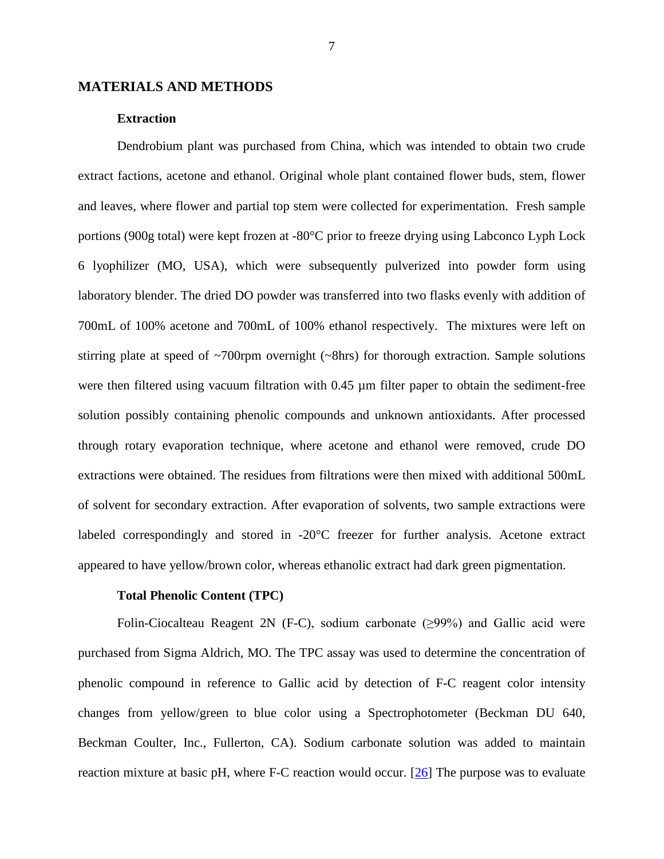#### <span id="page-15-1"></span><span id="page-15-0"></span>**MATERIALS AND METHODS**

#### **Extraction**

Dendrobium plant was purchased from China, which was intended to obtain two crude extract factions, acetone and ethanol. Original whole plant contained flower buds, stem, flower and leaves, where flower and partial top stem were collected for experimentation. Fresh sample portions (900g total) were kept frozen at -80°C prior to freeze drying using Labconco Lyph Lock 6 lyophilizer (MO, USA), which were subsequently pulverized into powder form using laboratory blender. The dried DO powder was transferred into two flasks evenly with addition of 700mL of 100% acetone and 700mL of 100% ethanol respectively. The mixtures were left on stirring plate at speed of ~700rpm overnight (~8hrs) for thorough extraction. Sample solutions were then filtered using vacuum filtration with 0.45 µm filter paper to obtain the sediment-free solution possibly containing phenolic compounds and unknown antioxidants. After processed through rotary evaporation technique, where acetone and ethanol were removed, crude DO extractions were obtained. The residues from filtrations were then mixed with additional 500mL of solvent for secondary extraction. After evaporation of solvents, two sample extractions were labeled correspondingly and stored in -20°C freezer for further analysis. Acetone extract appeared to have yellow/brown color, whereas ethanolic extract had dark green pigmentation.

#### **Total Phenolic Content (TPC)**

<span id="page-15-2"></span>Folin-Ciocalteau Reagent 2N (F-C), sodium carbonate  $(\geq 99\%)$  and Gallic acid were purchased from Sigma Aldrich, MO. The TPC assay was used to determine the concentration of phenolic compound in reference to Gallic acid by detection of F-C reagent color intensity changes from yellow/green to blue color using a Spectrophotometer (Beckman DU 640, Beckman Coulter, Inc., Fullerton, CA). Sodium carbonate solution was added to maintain reaction mixture at basic pH, where F-C reaction would occur. [\[26\]](#page-60-6) The purpose was to evaluate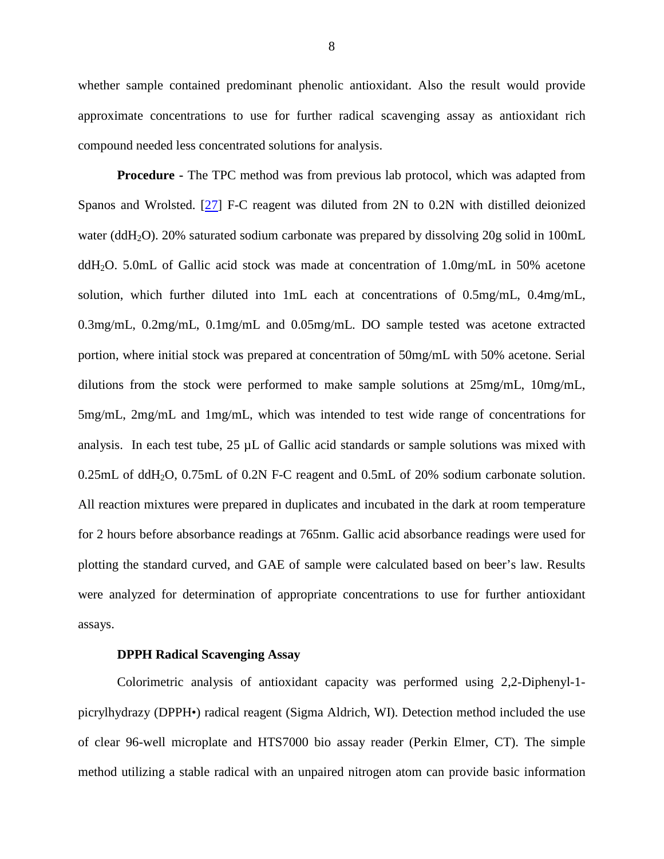whether sample contained predominant phenolic antioxidant. Also the result would provide approximate concentrations to use for further radical scavenging assay as antioxidant rich compound needed less concentrated solutions for analysis.

**Procedure -** The TPC method was from previous lab protocol, which was adapted from Spanos and Wrolsted. [\[27\]](#page-60-7) F-C reagent was diluted from 2N to 0.2N with distilled deionized water (ddH<sub>2</sub>O). 20% saturated sodium carbonate was prepared by dissolving 20g solid in 100mL ddH<sub>2</sub>O. 5.0mL of Gallic acid stock was made at concentration of 1.0mg/mL in 50% acetone solution, which further diluted into 1mL each at concentrations of 0.5mg/mL, 0.4mg/mL, 0.3mg/mL, 0.2mg/mL, 0.1mg/mL and 0.05mg/mL. DO sample tested was acetone extracted portion, where initial stock was prepared at concentration of 50mg/mL with 50% acetone. Serial dilutions from the stock were performed to make sample solutions at 25mg/mL, 10mg/mL, 5mg/mL, 2mg/mL and 1mg/mL, which was intended to test wide range of concentrations for analysis. In each test tube, 25 µL of Gallic acid standards or sample solutions was mixed with 0.25mL of ddH2O, 0.75mL of 0.2N F-C reagent and 0.5mL of 20% sodium carbonate solution. All reaction mixtures were prepared in duplicates and incubated in the dark at room temperature for 2 hours before absorbance readings at 765nm. Gallic acid absorbance readings were used for plotting the standard curved, and GAE of sample were calculated based on beer's law. Results were analyzed for determination of appropriate concentrations to use for further antioxidant assays.

#### **DPPH Radical Scavenging Assay**

<span id="page-16-0"></span>Colorimetric analysis of antioxidant capacity was performed using 2,2-Diphenyl-1 picrylhydrazy (DPPH•) radical reagent (Sigma Aldrich, WI). Detection method included the use of clear 96-well microplate and HTS7000 bio assay reader (Perkin Elmer, CT). The simple method utilizing a stable radical with an unpaired nitrogen atom can provide basic information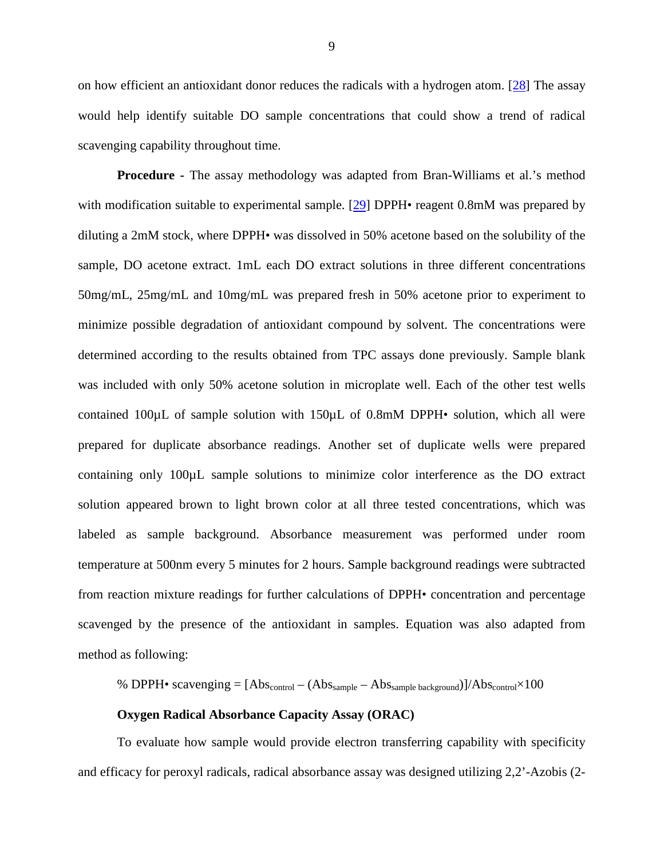on how efficient an antioxidant donor reduces the radicals with a hydrogen atom. [\[28\]](#page-60-8) The assay would help identify suitable DO sample concentrations that could show a trend of radical scavenging capability throughout time.

**Procedure -** The assay methodology was adapted from Bran-Williams et al.'s method with modification suitable to experimental sample. [\[29\]](#page-60-9) DPPH• reagent 0.8mM was prepared by diluting a 2mM stock, where DPPH• was dissolved in 50% acetone based on the solubility of the sample, DO acetone extract. 1mL each DO extract solutions in three different concentrations 50mg/mL, 25mg/mL and 10mg/mL was prepared fresh in 50% acetone prior to experiment to minimize possible degradation of antioxidant compound by solvent. The concentrations were determined according to the results obtained from TPC assays done previously. Sample blank was included with only 50% acetone solution in microplate well. Each of the other test wells contained  $100\mu$ L of sample solution with  $150\mu$ L of 0.8mM DPPH $\bullet$  solution, which all were prepared for duplicate absorbance readings. Another set of duplicate wells were prepared containing only 100µL sample solutions to minimize color interference as the DO extract solution appeared brown to light brown color at all three tested concentrations, which was labeled as sample background. Absorbance measurement was performed under room temperature at 500nm every 5 minutes for 2 hours. Sample background readings were subtracted from reaction mixture readings for further calculations of DPPH• concentration and percentage scavenged by the presence of the antioxidant in samples. Equation was also adapted from method as following:

% DPPH• scavenging  $=[Abs_{control}-(Abs_{sample} - Abs_{sample\ background})]/Abs_{control}\times 100$ 

#### **Oxygen Radical Absorbance Capacity Assay (ORAC)**

<span id="page-17-0"></span>To evaluate how sample would provide electron transferring capability with specificity and efficacy for peroxyl radicals, radical absorbance assay was designed utilizing 2,2'-Azobis (2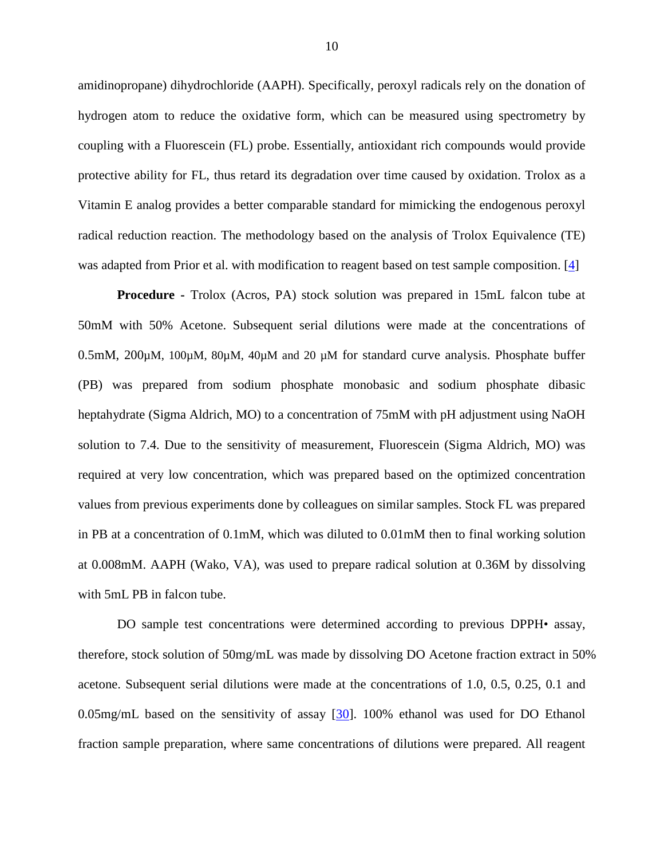amidinopropane) dihydrochloride (AAPH). Specifically, peroxyl radicals rely on the donation of hydrogen atom to reduce the oxidative form, which can be measured using spectrometry by coupling with a Fluorescein (FL) probe. Essentially, antioxidant rich compounds would provide protective ability for FL, thus retard its degradation over time caused by oxidation. Trolox as a Vitamin E analog provides a better comparable standard for mimicking the endogenous peroxyl radical reduction reaction. The methodology based on the analysis of Trolox Equivalence (TE) was adapted from Prior et al. with modification to reagent based on test sample composition. [\[4\]](#page-58-4)

**Procedure -** Trolox (Acros, PA) stock solution was prepared in 15mL falcon tube at 50mM with 50% Acetone. Subsequent serial dilutions were made at the concentrations of 0.5mM, 200µM, 100µM, 80µM, 40µM and 20 µM for standard curve analysis. Phosphate buffer (PB) was prepared from sodium phosphate monobasic and sodium phosphate dibasic heptahydrate (Sigma Aldrich, MO) to a concentration of 75mM with pH adjustment using NaOH solution to 7.4. Due to the sensitivity of measurement, Fluorescein (Sigma Aldrich, MO) was required at very low concentration, which was prepared based on the optimized concentration values from previous experiments done by colleagues on similar samples. Stock FL was prepared in PB at a concentration of 0.1mM, which was diluted to 0.01mM then to final working solution at 0.008mM. AAPH (Wako, VA), was used to prepare radical solution at 0.36M by dissolving with 5mL PB in falcon tube.

DO sample test concentrations were determined according to previous DPPH• assay, therefore, stock solution of 50mg/mL was made by dissolving DO Acetone fraction extract in 50% acetone. Subsequent serial dilutions were made at the concentrations of 1.0, 0.5, 0.25, 0.1 and 0.05mg/mL based on the sensitivity of assay [\[30\]](#page-61-0). 100% ethanol was used for DO Ethanol fraction sample preparation, where same concentrations of dilutions were prepared. All reagent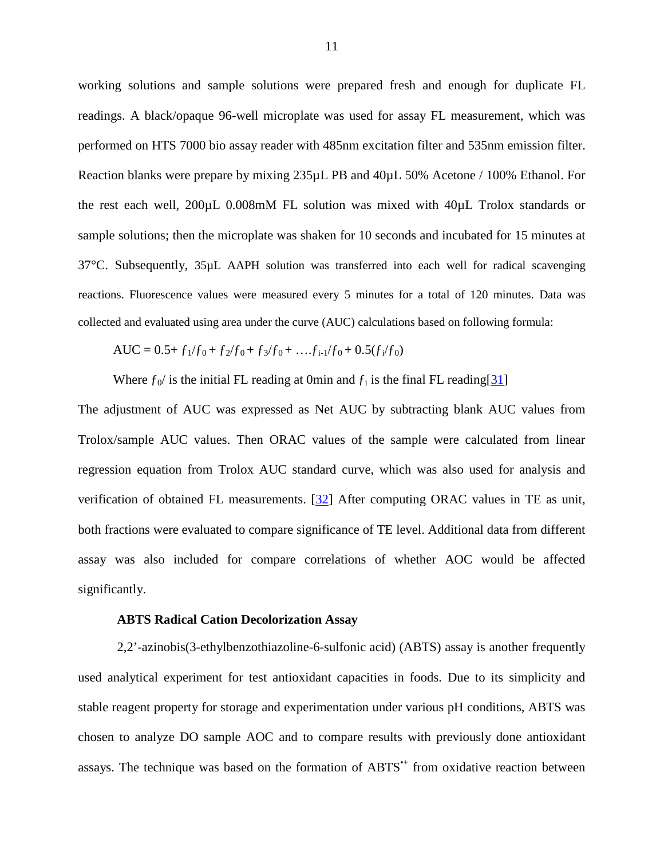working solutions and sample solutions were prepared fresh and enough for duplicate FL readings. A black/opaque 96-well microplate was used for assay FL measurement, which was performed on HTS 7000 bio assay reader with 485nm excitation filter and 535nm emission filter. Reaction blanks were prepare by mixing 235µL PB and 40µL 50% Acetone / 100% Ethanol. For the rest each well, 200µL 0.008mM FL solution was mixed with 40µL Trolox standards or sample solutions; then the microplate was shaken for 10 seconds and incubated for 15 minutes at 37°C. Subsequently, 35µL AAPH solution was transferred into each well for radical scavenging reactions. Fluorescence values were measured every 5 minutes for a total of 120 minutes. Data was collected and evaluated using area under the curve (AUC) calculations based on following formula:

AUC = 0.5+ 
$$
f_1/f_0
$$
 +  $f_2/f_0$  +  $f_3/f_0$  + ... $f_{i-1}/f_0$  + 0.5( $f_i/f_0$ )

Where  $f_0$  is the initial FL reading at 0min and  $f_i$  is the final FL reading [\[31\]](#page-61-1)

The adjustment of AUC was expressed as Net AUC by subtracting blank AUC values from Trolox/sample AUC values. Then ORAC values of the sample were calculated from linear regression equation from Trolox AUC standard curve, which was also used for analysis and verification of obtained FL measurements. [\[32\]](#page-61-2) After computing ORAC values in TE as unit, both fractions were evaluated to compare significance of TE level. Additional data from different assay was also included for compare correlations of whether AOC would be affected significantly.

#### **ABTS Radical Cation Decolorization Assay**

<span id="page-19-0"></span>2,2'-azinobis(3-ethylbenzothiazoline-6-sulfonic acid) (ABTS) assay is another frequently used analytical experiment for test antioxidant capacities in foods. Due to its simplicity and stable reagent property for storage and experimentation under various pH conditions, ABTS was chosen to analyze DO sample AOC and to compare results with previously done antioxidant assays. The technique was based on the formation of ABTS<sup>\*+</sup> from oxidative reaction between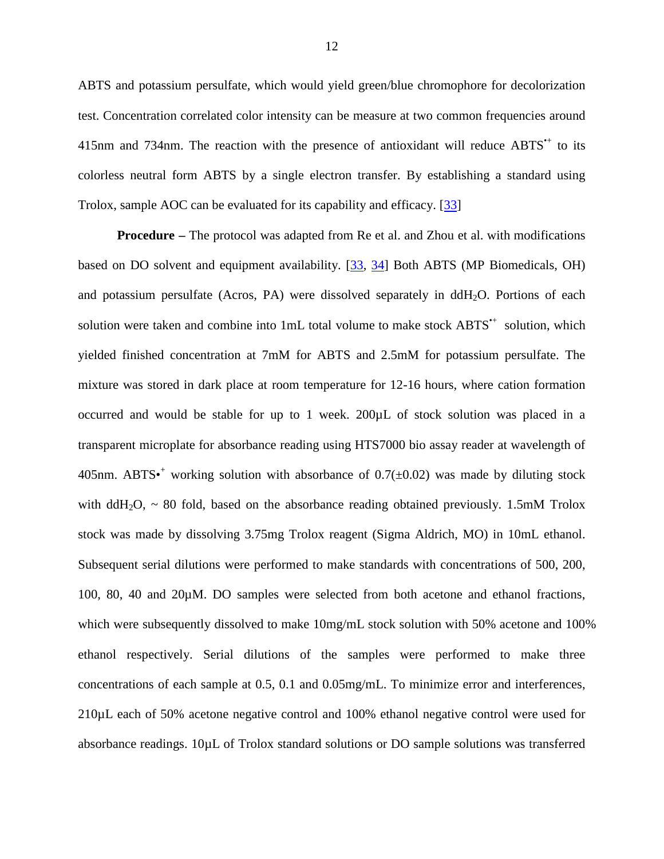ABTS and potassium persulfate, which would yield green/blue chromophore for decolorization test. Concentration correlated color intensity can be measure at two common frequencies around 415nm and 734nm. The reaction with the presence of antioxidant will reduce  $ABTS^*$  to its colorless neutral form ABTS by a single electron transfer. By establishing a standard using Trolox, sample AOC can be evaluated for its capability and efficacy. [\[33\]](#page-61-3)

**Procedure –** The protocol was adapted from Re et al. and Zhou et al. with modifications based on DO solvent and equipment availability. [\[33,](#page-61-3) [34\]](#page-61-4) Both ABTS (MP Biomedicals, OH) and potassium persulfate (Acros, PA) were dissolved separately in  $ddH<sub>2</sub>O$ . Portions of each solution were taken and combine into 1mL total volume to make stock ABTS<sup>\*+</sup> solution, which yielded finished concentration at 7mM for ABTS and 2.5mM for potassium persulfate. The mixture was stored in dark place at room temperature for 12-16 hours, where cation formation occurred and would be stable for up to 1 week. 200µL of stock solution was placed in a transparent microplate for absorbance reading using HTS7000 bio assay reader at wavelength of 405nm. ABTS<sup>\*</sup> working solution with absorbance of  $0.7(\pm 0.02)$  was made by diluting stock with ddH<sub>2</sub>O,  $\sim$  80 fold, based on the absorbance reading obtained previously. 1.5mM Trolox stock was made by dissolving 3.75mg Trolox reagent (Sigma Aldrich, MO) in 10mL ethanol. Subsequent serial dilutions were performed to make standards with concentrations of 500, 200, 100, 80, 40 and 20µM. DO samples were selected from both acetone and ethanol fractions, which were subsequently dissolved to make 10mg/mL stock solution with 50% acetone and 100% ethanol respectively. Serial dilutions of the samples were performed to make three concentrations of each sample at 0.5, 0.1 and 0.05mg/mL. To minimize error and interferences, 210µL each of 50% acetone negative control and 100% ethanol negative control were used for absorbance readings. 10µL of Trolox standard solutions or DO sample solutions was transferred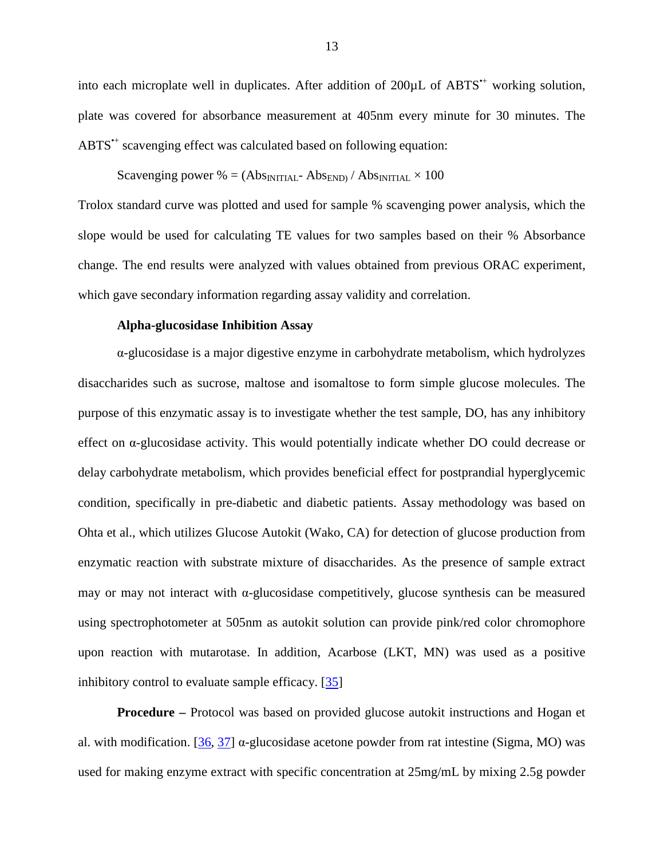into each microplate well in duplicates. After addition of 200 $\mu$ L of ABTS<sup> $*$ </sup> working solution, plate was covered for absorbance measurement at 405nm every minute for 30 minutes. The ABTS<sup>\*+</sup> scavenging effect was calculated based on following equation:

Scavenging power % =  $(Abs_{INITIAL} - Abs_{END}) / Abs_{INITIAL} \times 100$ 

Trolox standard curve was plotted and used for sample % scavenging power analysis, which the slope would be used for calculating TE values for two samples based on their % Absorbance change. The end results were analyzed with values obtained from previous ORAC experiment, which gave secondary information regarding assay validity and correlation.

#### **Alpha-glucosidase Inhibition Assay**

<span id="page-21-0"></span>α-glucosidase is a major digestive enzyme in carbohydrate metabolism, which hydrolyzes disaccharides such as sucrose, maltose and isomaltose to form simple glucose molecules. The purpose of this enzymatic assay is to investigate whether the test sample, DO, has any inhibitory effect on α-glucosidase activity. This would potentially indicate whether DO could decrease or delay carbohydrate metabolism, which provides beneficial effect for postprandial hyperglycemic condition, specifically in pre-diabetic and diabetic patients. Assay methodology was based on Ohta et al., which utilizes Glucose Autokit (Wako, CA) for detection of glucose production from enzymatic reaction with substrate mixture of disaccharides. As the presence of sample extract may or may not interact with  $\alpha$ -glucosidase competitively, glucose synthesis can be measured using spectrophotometer at 505nm as autokit solution can provide pink/red color chromophore upon reaction with mutarotase. In addition, Acarbose (LKT, MN) was used as a positive inhibitory control to evaluate sample efficacy. [\[35\]](#page-61-5)

**Procedure –** Protocol was based on provided glucose autokit instructions and Hogan et al. with modification. [\[36,](#page-61-6) [37\]](#page-61-7) α-glucosidase acetone powder from rat intestine (Sigma, MO) was used for making enzyme extract with specific concentration at 25mg/mL by mixing 2.5g powder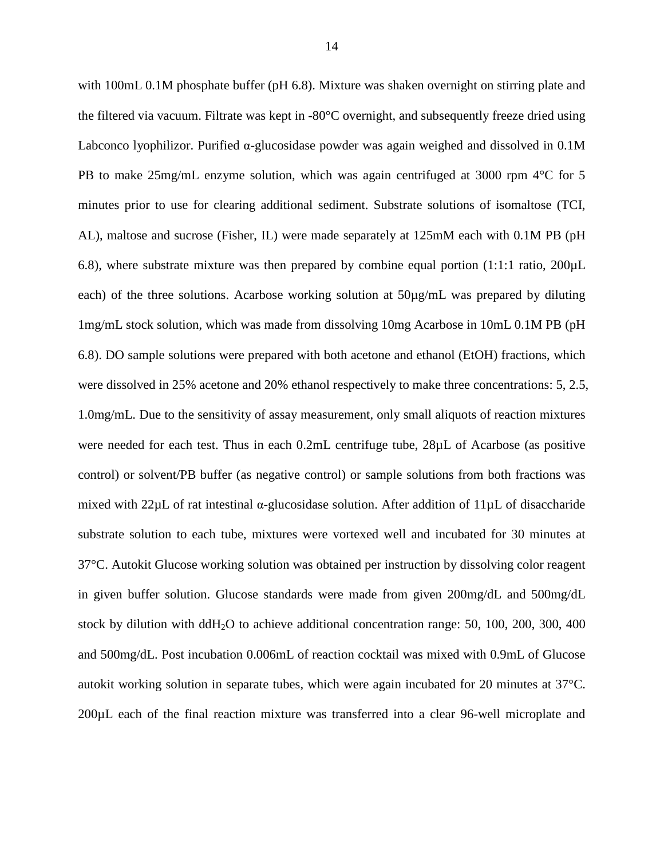with 100mL 0.1M phosphate buffer (pH 6.8). Mixture was shaken overnight on stirring plate and the filtered via vacuum. Filtrate was kept in -80°C overnight, and subsequently freeze dried using Labconco lyophilizor. Purified  $\alpha$ -glucosidase powder was again weighed and dissolved in 0.1M PB to make 25mg/mL enzyme solution, which was again centrifuged at 3000 rpm 4°C for 5 minutes prior to use for clearing additional sediment. Substrate solutions of isomaltose (TCI, AL), maltose and sucrose (Fisher, IL) were made separately at 125mM each with 0.1M PB (pH 6.8), where substrate mixture was then prepared by combine equal portion (1:1:1 ratio,  $200\mu L$ each) of the three solutions. Acarbose working solution at 50µg/mL was prepared by diluting 1mg/mL stock solution, which was made from dissolving 10mg Acarbose in 10mL 0.1M PB (pH 6.8). DO sample solutions were prepared with both acetone and ethanol (EtOH) fractions, which were dissolved in 25% acetone and 20% ethanol respectively to make three concentrations: 5, 2.5, 1.0mg/mL. Due to the sensitivity of assay measurement, only small aliquots of reaction mixtures were needed for each test. Thus in each 0.2mL centrifuge tube, 28µL of Acarbose (as positive control) or solvent/PB buffer (as negative control) or sample solutions from both fractions was mixed with  $22\mu L$  of rat intestinal  $\alpha$ -glucosidase solution. After addition of  $11\mu L$  of disaccharide substrate solution to each tube, mixtures were vortexed well and incubated for 30 minutes at 37°C. Autokit Glucose working solution was obtained per instruction by dissolving color reagent in given buffer solution. Glucose standards were made from given 200mg/dL and 500mg/dL stock by dilution with ddH2O to achieve additional concentration range: 50, 100, 200, 300, 400 and 500mg/dL. Post incubation 0.006mL of reaction cocktail was mixed with 0.9mL of Glucose autokit working solution in separate tubes, which were again incubated for 20 minutes at 37°C. 200µL each of the final reaction mixture was transferred into a clear 96-well microplate and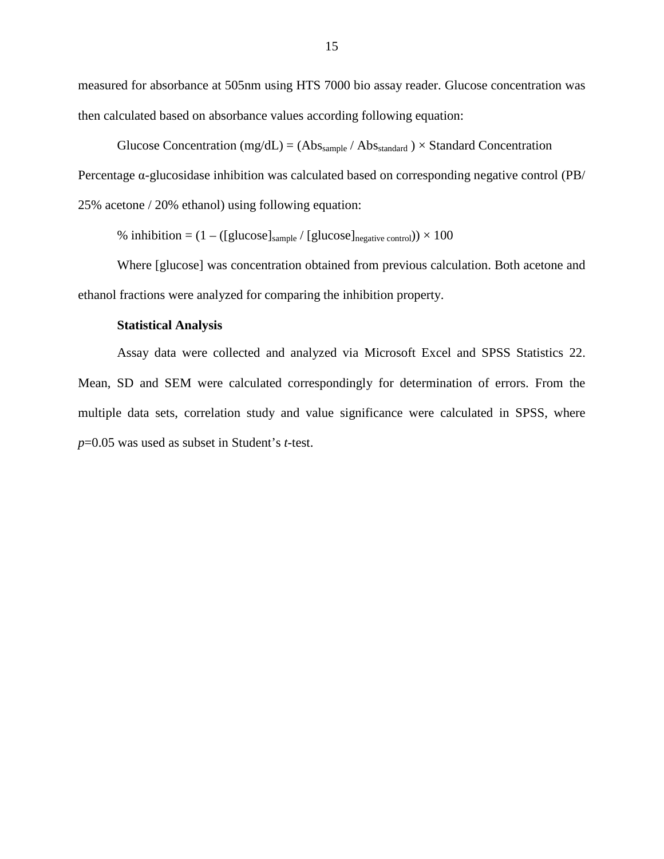measured for absorbance at 505nm using HTS 7000 bio assay reader. Glucose concentration was then calculated based on absorbance values according following equation:

Glucose Concentration (mg/dL) = (Abs<sub>sample</sub> / Abs<sub>standard</sub>) × Standard Concentration

Percentage α-glucosidase inhibition was calculated based on corresponding negative control (PB/

25% acetone / 20% ethanol) using following equation:

% inhibition =  $(1 - ([glucose]_{sample} / [glucose]_{negative \text{ control}})) \times 100$ 

Where [glucose] was concentration obtained from previous calculation. Both acetone and ethanol fractions were analyzed for comparing the inhibition property.

#### **Statistical Analysis**

Assay data were collected and analyzed via Microsoft Excel and SPSS Statistics 22. Mean, SD and SEM were calculated correspondingly for determination of errors. From the multiple data sets, correlation study and value significance were calculated in SPSS, where *p*=0.05 was used as subset in Student's *t*-test.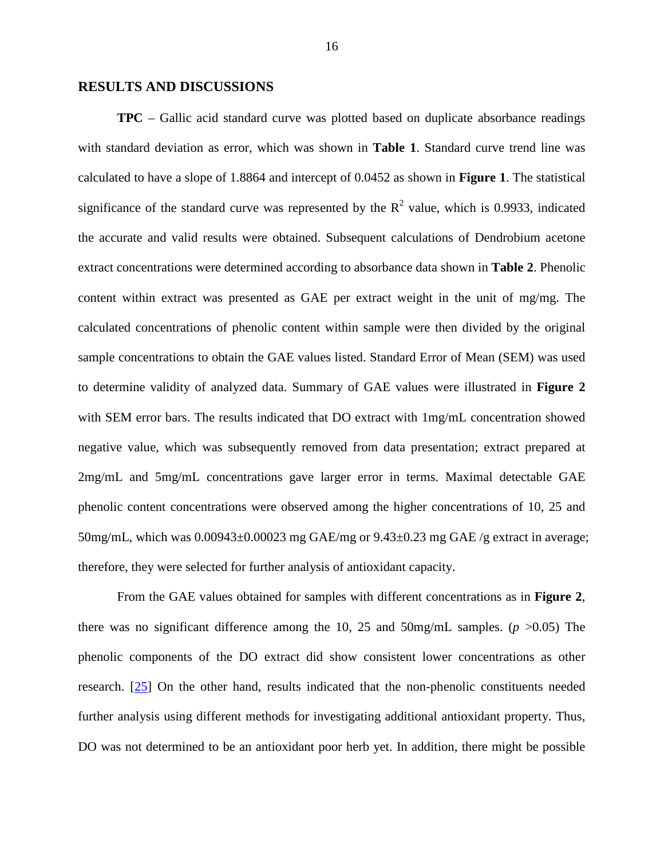#### <span id="page-24-0"></span>**RESULTS AND DISCUSSIONS**

**TPC** – Gallic acid standard curve was plotted based on duplicate absorbance readings with standard deviation as error, which was shown in **[Table 1](#page-33-0)**. Standard curve trend line was calculated to have a slope of 1.8864 and intercept of 0.0452 as shown in **[Figure 1](#page-34-0)**. The statistical significance of the standard curve was represented by the  $R^2$  value, which is 0.9933, indicated the accurate and valid results were obtained. Subsequent calculations of Dendrobium acetone extract concentrations were determined according to absorbance data shown in **[Table 2](#page-35-0)**. Phenolic content within extract was presented as GAE per extract weight in the unit of mg/mg. The calculated concentrations of phenolic content within sample were then divided by the original sample concentrations to obtain the GAE values listed. Standard Error of Mean (SEM) was used to determine validity of analyzed data. Summary of GAE values were illustrated in **[Figure 2](#page-36-0)** with SEM error bars. The results indicated that DO extract with 1mg/mL concentration showed negative value, which was subsequently removed from data presentation; extract prepared at 2mg/mL and 5mg/mL concentrations gave larger error in terms. Maximal detectable GAE phenolic content concentrations were observed among the higher concentrations of 10, 25 and 50mg/mL, which was 0.00943±0.00023 mg GAE/mg or 9.43±0.23 mg GAE /g extract in average; therefore, they were selected for further analysis of antioxidant capacity.

From the GAE values obtained for samples with different concentrations as in **[Figure 2](#page-36-0)**, there was no significant difference among the 10, 25 and 50mg/mL samples. ( $p > 0.05$ ) The phenolic components of the DO extract did show consistent lower concentrations as other research. [\[25\]](#page-60-5) On the other hand, results indicated that the non-phenolic constituents needed further analysis using different methods for investigating additional antioxidant property. Thus, DO was not determined to be an antioxidant poor herb yet. In addition, there might be possible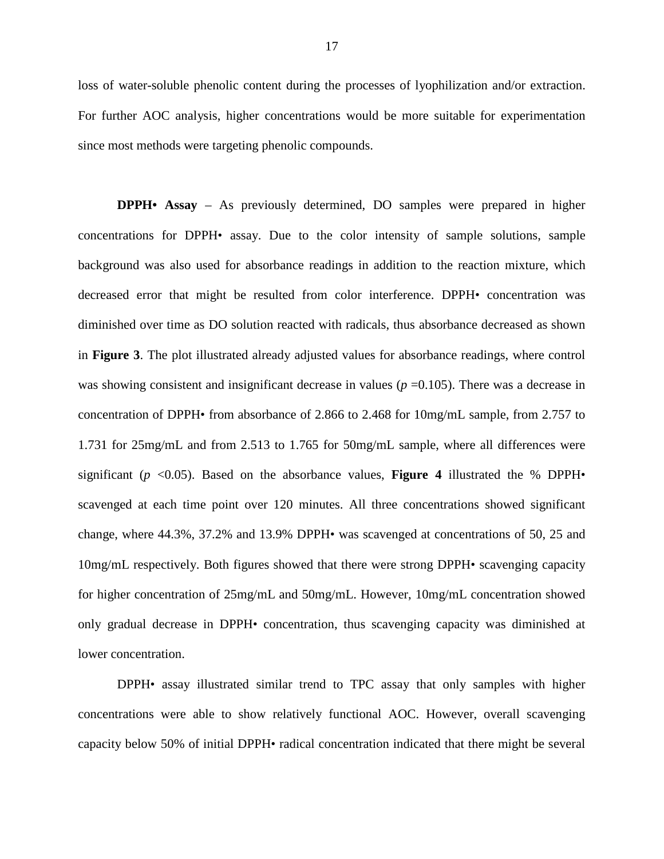loss of water-soluble phenolic content during the processes of lyophilization and/or extraction. For further AOC analysis, higher concentrations would be more suitable for experimentation since most methods were targeting phenolic compounds.

**DPPH• Assay** – As previously determined, DO samples were prepared in higher concentrations for DPPH• assay. Due to the color intensity of sample solutions, sample background was also used for absorbance readings in addition to the reaction mixture, which decreased error that might be resulted from color interference. DPPH• concentration was diminished over time as DO solution reacted with radicals, thus absorbance decreased as shown in **[Figure 3](#page-37-0)**. The plot illustrated already adjusted values for absorbance readings, where control was showing consistent and insignificant decrease in values ( $p = 0.105$ ). There was a decrease in concentration of DPPH• from absorbance of 2.866 to 2.468 for 10mg/mL sample, from 2.757 to 1.731 for 25mg/mL and from 2.513 to 1.765 for 50mg/mL sample, where all differences were significant ( $p \le 0.05$ ). Based on the absorbance values, **[Figure 4](#page-38-0)** illustrated the % DPPH scavenged at each time point over 120 minutes. All three concentrations showed significant change, where 44.3%, 37.2% and 13.9% DPPH• was scavenged at concentrations of 50, 25 and 10mg/mL respectively. Both figures showed that there were strong DPPH• scavenging capacity for higher concentration of 25mg/mL and 50mg/mL. However, 10mg/mL concentration showed only gradual decrease in DPPH• concentration, thus scavenging capacity was diminished at lower concentration.

DPPH• assay illustrated similar trend to TPC assay that only samples with higher concentrations were able to show relatively functional AOC. However, overall scavenging capacity below 50% of initial DPPH• radical concentration indicated that there might be several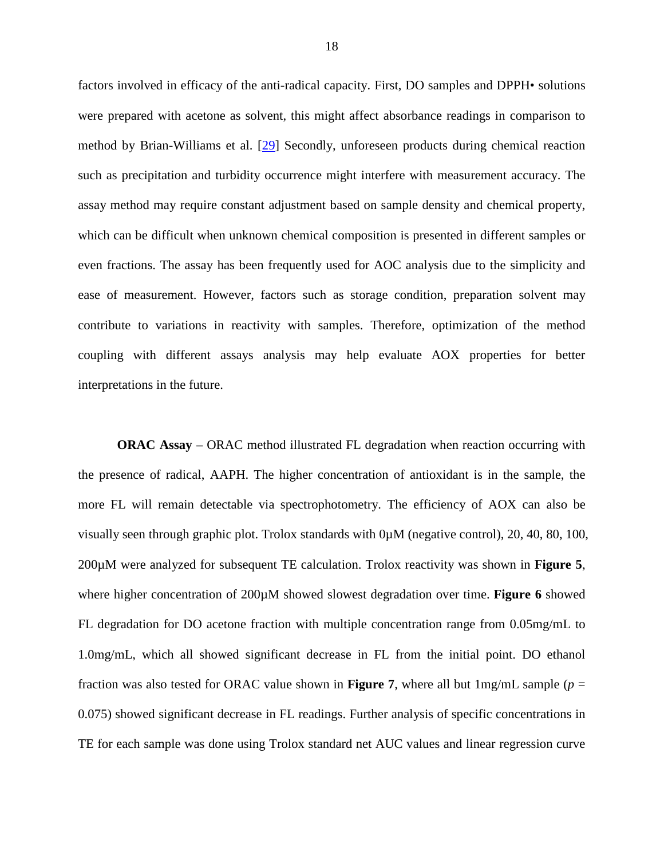factors involved in efficacy of the anti-radical capacity. First, DO samples and DPPH• solutions were prepared with acetone as solvent, this might affect absorbance readings in comparison to method by Brian-Williams et al. [\[29\]](#page-60-9) Secondly, unforeseen products during chemical reaction such as precipitation and turbidity occurrence might interfere with measurement accuracy. The assay method may require constant adjustment based on sample density and chemical property, which can be difficult when unknown chemical composition is presented in different samples or even fractions. The assay has been frequently used for AOC analysis due to the simplicity and ease of measurement. However, factors such as storage condition, preparation solvent may contribute to variations in reactivity with samples. Therefore, optimization of the method coupling with different assays analysis may help evaluate AOX properties for better interpretations in the future.

**ORAC Assay** – ORAC method illustrated FL degradation when reaction occurring with the presence of radical, AAPH. The higher concentration of antioxidant is in the sample, the more FL will remain detectable via spectrophotometry. The efficiency of AOX can also be visually seen through graphic plot. Trolox standards with 0µM (negative control), 20, 40, 80, 100, 200µM were analyzed for subsequent TE calculation. Trolox reactivity was shown in **[Figure 5](#page-39-0)**, where higher concentration of  $200\mu$ M showed slowest degradation over time. **[Figure 6](#page-40-0)** showed FL degradation for DO acetone fraction with multiple concentration range from 0.05mg/mL to 1.0mg/mL, which all showed significant decrease in FL from the initial point. DO ethanol fraction was also tested for ORAC value shown in **[Figure 7](#page-41-0)**, where all but  $1 \text{mg/mL}$  sample ( $p =$ 0.075) showed significant decrease in FL readings. Further analysis of specific concentrations in TE for each sample was done using Trolox standard net AUC values and linear regression curve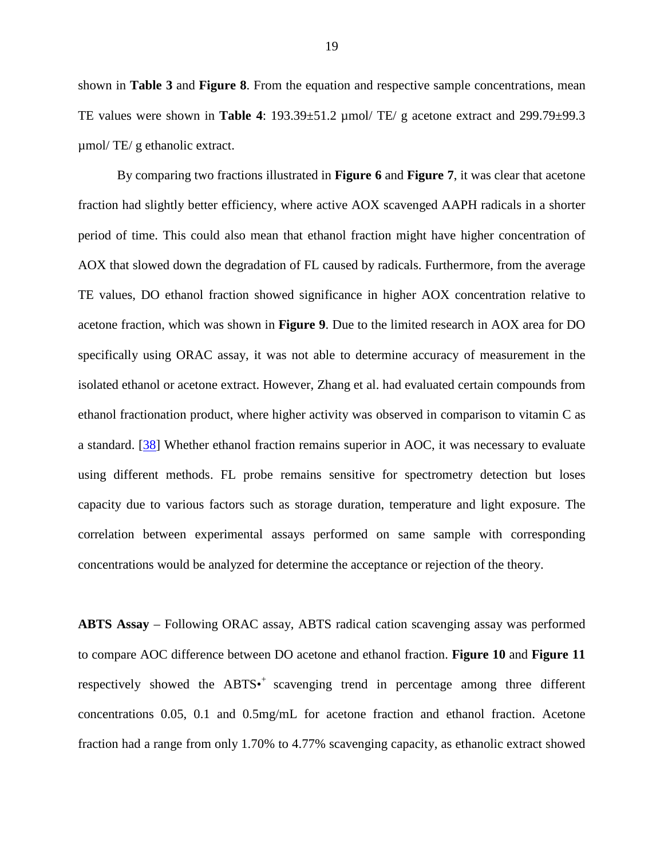shown in **[Table 3](#page-42-0)** and **[Figure 8](#page-43-0)**. From the equation and respective sample concentrations, mean TE values were shown in **[Table 4](#page-44-0)**: 193.39±51.2 µmol/ TE/ g acetone extract and 299.79±99.3 µmol/ TE/ g ethanolic extract.

By comparing two fractions illustrated in **[Figure 6](#page-40-0)** and **[Figure 7](#page-41-0)**, it was clear that acetone fraction had slightly better efficiency, where active AOX scavenged AAPH radicals in a shorter period of time. This could also mean that ethanol fraction might have higher concentration of AOX that slowed down the degradation of FL caused by radicals. Furthermore, from the average TE values, DO ethanol fraction showed significance in higher AOX concentration relative to acetone fraction, which was shown in **[Figure 9](#page-45-0)**. Due to the limited research in AOX area for DO specifically using ORAC assay, it was not able to determine accuracy of measurement in the isolated ethanol or acetone extract. However, Zhang et al. had evaluated certain compounds from ethanol fractionation product, where higher activity was observed in comparison to vitamin C as a standard. [\[38\]](#page-61-8) Whether ethanol fraction remains superior in AOC, it was necessary to evaluate using different methods. FL probe remains sensitive for spectrometry detection but loses capacity due to various factors such as storage duration, temperature and light exposure. The correlation between experimental assays performed on same sample with corresponding concentrations would be analyzed for determine the acceptance or rejection of the theory.

**ABTS Assay** – Following ORAC assay, ABTS radical cation scavenging assay was performed to compare AOC difference between DO acetone and ethanol fraction. **[Figure 10](#page-46-0)** and **[Figure 11](#page-47-0)** respectively showed the ABTS<sup>\*</sup> scavenging trend in percentage among three different concentrations 0.05, 0.1 and 0.5mg/mL for acetone fraction and ethanol fraction. Acetone fraction had a range from only 1.70% to 4.77% scavenging capacity, as ethanolic extract showed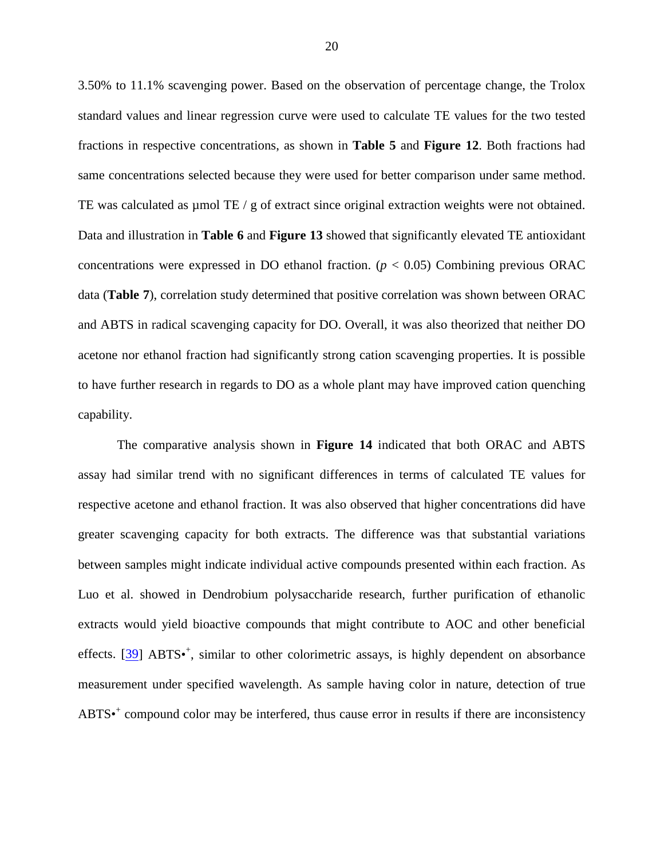3.50% to 11.1% scavenging power. Based on the observation of percentage change, the Trolox standard values and linear regression curve were used to calculate TE values for the two tested fractions in respective concentrations, as shown in **[Table 5](#page-48-0)** and **[Figure 12](#page-49-0)**. Both fractions had same concentrations selected because they were used for better comparison under same method. TE was calculated as  $\mu$ mol TE / g of extract since original extraction weights were not obtained. Data and illustration in **[Table 6](#page-50-0)** and **[Figure 13](#page-51-0)** showed that significantly elevated TE antioxidant concentrations were expressed in DO ethanol fraction.  $(p < 0.05)$  Combining previous ORAC data (**[Table 7](#page-52-0)**), correlation study determined that positive correlation was shown between ORAC and ABTS in radical scavenging capacity for DO. Overall, it was also theorized that neither DO acetone nor ethanol fraction had significantly strong cation scavenging properties. It is possible to have further research in regards to DO as a whole plant may have improved cation quenching capability.

The comparative analysis shown in **[Figure 14](#page-53-0)** indicated that both ORAC and ABTS assay had similar trend with no significant differences in terms of calculated TE values for respective acetone and ethanol fraction. It was also observed that higher concentrations did have greater scavenging capacity for both extracts. The difference was that substantial variations between samples might indicate individual active compounds presented within each fraction. As Luo et al. showed in Dendrobium polysaccharide research, further purification of ethanolic extracts would yield bioactive compounds that might contribute to AOC and other beneficial effects. [\[39\]](#page-62-0) ABTS<sup>\*</sup>, similar to other colorimetric assays, is highly dependent on absorbance measurement under specified wavelength. As sample having color in nature, detection of true ABTS<sup>++</sup> compound color may be interfered, thus cause error in results if there are inconsistency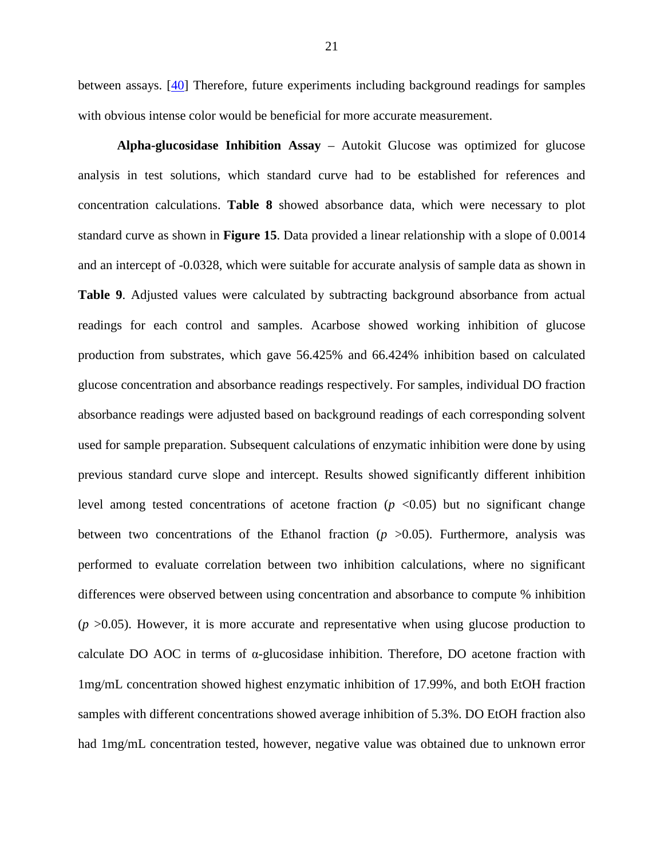between assays. [\[40\]](#page-62-1) Therefore, future experiments including background readings for samples with obvious intense color would be beneficial for more accurate measurement.

**Alpha-glucosidase Inhibition Assay** – Autokit Glucose was optimized for glucose analysis in test solutions, which standard curve had to be established for references and concentration calculations. **[Table 8](#page-54-0)** showed absorbance data, which were necessary to plot standard curve as shown in **[Figure 15](#page-55-0)**. Data provided a linear relationship with a slope of 0.0014 and an intercept of -0.0328, which were suitable for accurate analysis of sample data as shown in **[Table 9](#page-56-0)**. Adjusted values were calculated by subtracting background absorbance from actual readings for each control and samples. Acarbose showed working inhibition of glucose production from substrates, which gave 56.425% and 66.424% inhibition based on calculated glucose concentration and absorbance readings respectively. For samples, individual DO fraction absorbance readings were adjusted based on background readings of each corresponding solvent used for sample preparation. Subsequent calculations of enzymatic inhibition were done by using previous standard curve slope and intercept. Results showed significantly different inhibition level among tested concentrations of acetone fraction  $(p \lt 0.05)$  but no significant change between two concentrations of the Ethanol fraction  $(p > 0.05)$ . Furthermore, analysis was performed to evaluate correlation between two inhibition calculations, where no significant differences were observed between using concentration and absorbance to compute % inhibition  $(p > 0.05)$ . However, it is more accurate and representative when using glucose production to calculate DO AOC in terms of  $\alpha$ -glucosidase inhibition. Therefore, DO acetone fraction with 1mg/mL concentration showed highest enzymatic inhibition of 17.99%, and both EtOH fraction samples with different concentrations showed average inhibition of 5.3%. DO EtOH fraction also had 1mg/mL concentration tested, however, negative value was obtained due to unknown error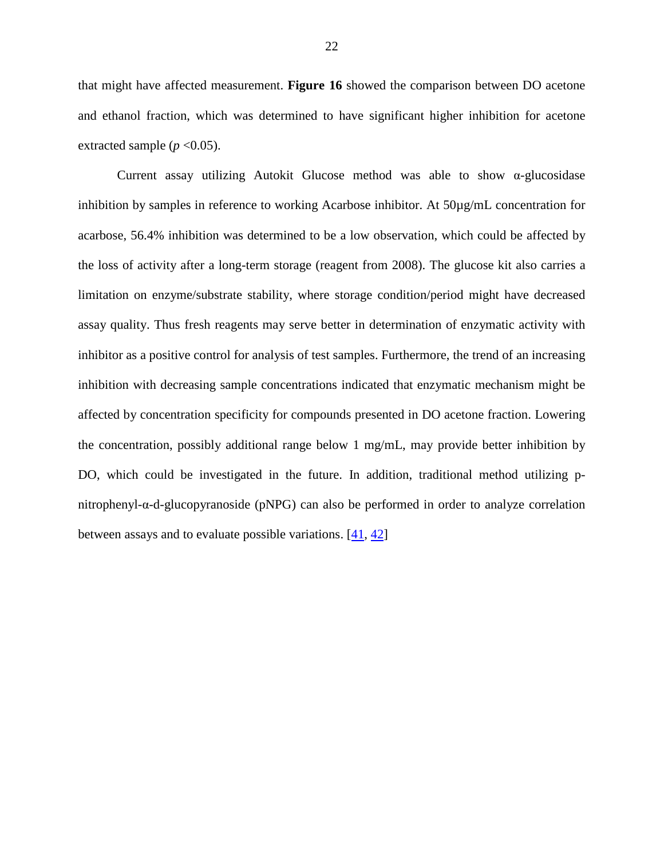that might have affected measurement. **[Figure 16](#page-57-0)** showed the comparison between DO acetone and ethanol fraction, which was determined to have significant higher inhibition for acetone extracted sample  $(p \le 0.05)$ .

Current assay utilizing Autokit Glucose method was able to show  $\alpha$ -glucosidase inhibition by samples in reference to working Acarbose inhibitor. At 50µg/mL concentration for acarbose, 56.4% inhibition was determined to be a low observation, which could be affected by the loss of activity after a long-term storage (reagent from 2008). The glucose kit also carries a limitation on enzyme/substrate stability, where storage condition/period might have decreased assay quality. Thus fresh reagents may serve better in determination of enzymatic activity with inhibitor as a positive control for analysis of test samples. Furthermore, the trend of an increasing inhibition with decreasing sample concentrations indicated that enzymatic mechanism might be affected by concentration specificity for compounds presented in DO acetone fraction. Lowering the concentration, possibly additional range below 1 mg/mL, may provide better inhibition by DO, which could be investigated in the future. In addition, traditional method utilizing pnitrophenyl-α-d-glucopyranoside (pNPG) can also be performed in order to analyze correlation between assays and to evaluate possible variations. [\[41,](#page-62-2) [42\]](#page-62-3)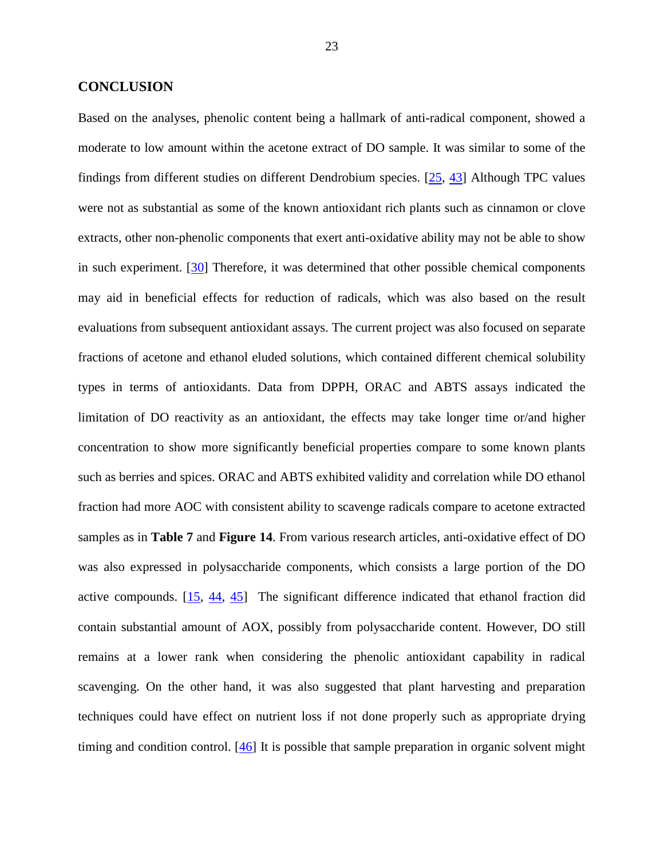#### <span id="page-31-0"></span>**CONCLUSION**

Based on the analyses, phenolic content being a hallmark of anti-radical component, showed a moderate to low amount within the acetone extract of DO sample. It was similar to some of the findings from different studies on different Dendrobium species. [\[25,](#page-60-5) [43\]](#page-62-4) Although TPC values were not as substantial as some of the known antioxidant rich plants such as cinnamon or clove extracts, other non-phenolic components that exert anti-oxidative ability may not be able to show in such experiment. [\[30\]](#page-61-0) Therefore, it was determined that other possible chemical components may aid in beneficial effects for reduction of radicals, which was also based on the result evaluations from subsequent antioxidant assays. The current project was also focused on separate fractions of acetone and ethanol eluded solutions, which contained different chemical solubility types in terms of antioxidants. Data from DPPH, ORAC and ABTS assays indicated the limitation of DO reactivity as an antioxidant, the effects may take longer time or/and higher concentration to show more significantly beneficial properties compare to some known plants such as berries and spices. ORAC and ABTS exhibited validity and correlation while DO ethanol fraction had more AOC with consistent ability to scavenge radicals compare to acetone extracted samples as in **[Table 7](#page-52-0)** and **[Figure 14](#page-53-0)**. From various research articles, anti-oxidative effect of DO was also expressed in polysaccharide components, which consists a large portion of the DO active compounds. [\[15,](#page-59-4) [44,](#page-62-5) [45\]](#page-62-6) The significant difference indicated that ethanol fraction did contain substantial amount of AOX, possibly from polysaccharide content. However, DO still remains at a lower rank when considering the phenolic antioxidant capability in radical scavenging. On the other hand, it was also suggested that plant harvesting and preparation techniques could have effect on nutrient loss if not done properly such as appropriate drying timing and condition control. [\[46\]](#page-62-7) It is possible that sample preparation in organic solvent might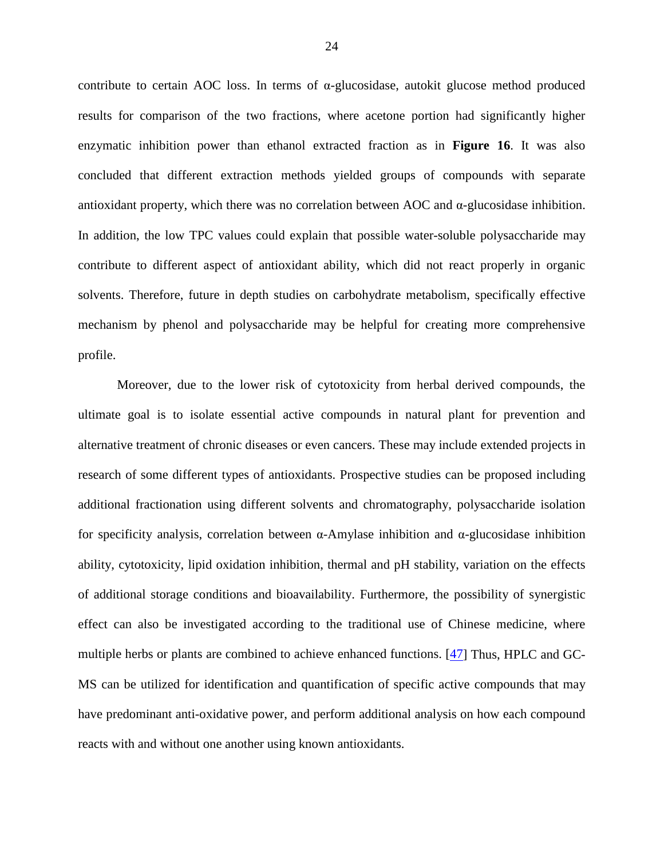contribute to certain AOC loss. In terms of α-glucosidase, autokit glucose method produced results for comparison of the two fractions, where acetone portion had significantly higher enzymatic inhibition power than ethanol extracted fraction as in **[Figure 16](#page-57-0)**. It was also concluded that different extraction methods yielded groups of compounds with separate antioxidant property, which there was no correlation between AOC and  $\alpha$ -glucosidase inhibition. In addition, the low TPC values could explain that possible water-soluble polysaccharide may contribute to different aspect of antioxidant ability, which did not react properly in organic solvents. Therefore, future in depth studies on carbohydrate metabolism, specifically effective mechanism by phenol and polysaccharide may be helpful for creating more comprehensive profile.

Moreover, due to the lower risk of cytotoxicity from herbal derived compounds, the ultimate goal is to isolate essential active compounds in natural plant for prevention and alternative treatment of chronic diseases or even cancers. These may include extended projects in research of some different types of antioxidants. Prospective studies can be proposed including additional fractionation using different solvents and chromatography, polysaccharide isolation for specificity analysis, correlation between α-Amylase inhibition and α-glucosidase inhibition ability, cytotoxicity, lipid oxidation inhibition, thermal and pH stability, variation on the effects of additional storage conditions and bioavailability. Furthermore, the possibility of synergistic effect can also be investigated according to the traditional use of Chinese medicine, where multiple herbs or plants are combined to achieve enhanced functions. [\[47\]](#page-62-8) Thus, HPLC and GC-MS can be utilized for identification and quantification of specific active compounds that may have predominant anti-oxidative power, and perform additional analysis on how each compound reacts with and without one another using known antioxidants.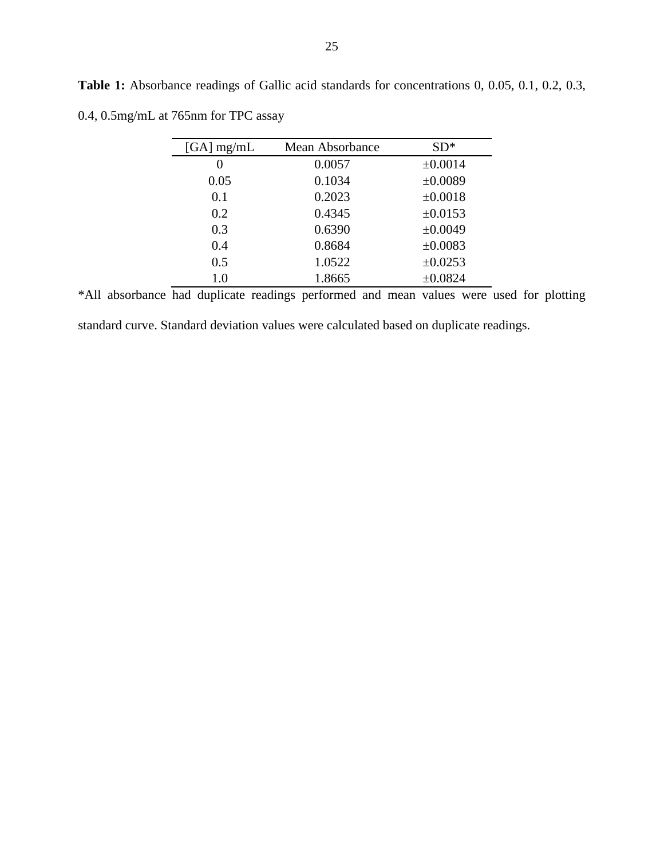| $[GA]$ mg/mL | Mean Absorbance | $SD*$        |
|--------------|-----------------|--------------|
| 0            | 0.0057          | ±0.0014      |
| 0.05         | 0.1034          | ±0.0089      |
| 0.1          | 0.2023          | ±0.0018      |
| 0.2          | 0.4345          | $\pm 0.0153$ |
| 0.3          | 0.6390          | ±0.0049      |
| 0.4          | 0.8684          | ±0.0083      |
| 0.5          | 1.0522          | $\pm 0.0253$ |
| 1.0          | 1.8665          | ±0.0824      |

<span id="page-33-0"></span>**Table 1:** Absorbance readings of Gallic acid standards for concentrations 0, 0.05, 0.1, 0.2, 0.3, 0.4, 0.5mg/mL at 765nm for TPC assay

\*All absorbance had duplicate readings performed and mean values were used for plotting

standard curve. Standard deviation values were calculated based on duplicate readings.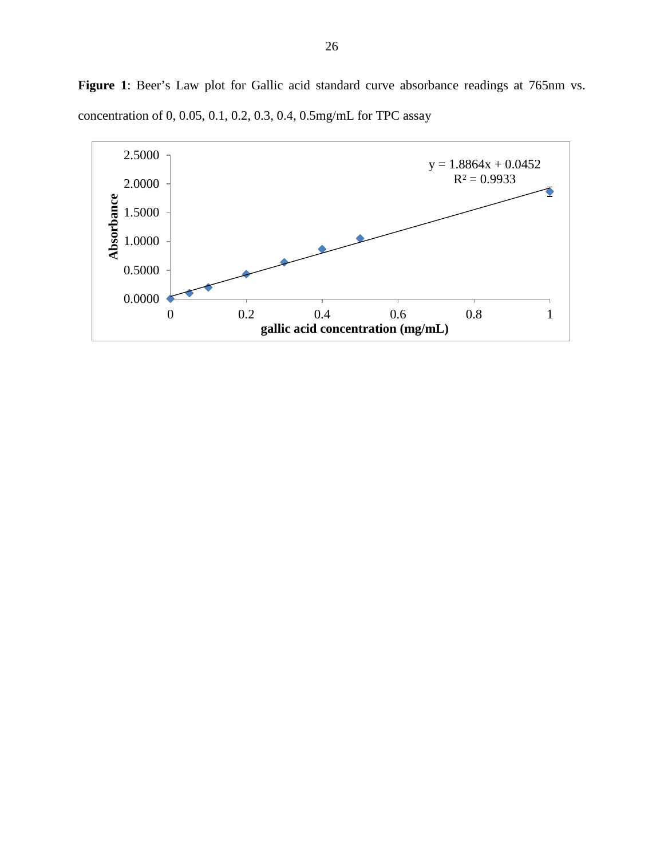<span id="page-34-0"></span>Figure 1: Beer's Law plot for Gallic acid standard curve absorbance readings at 765nm vs. concentration of 0, 0.05, 0.1, 0.2, 0.3, 0.4, 0.5mg/mL for TPC assay

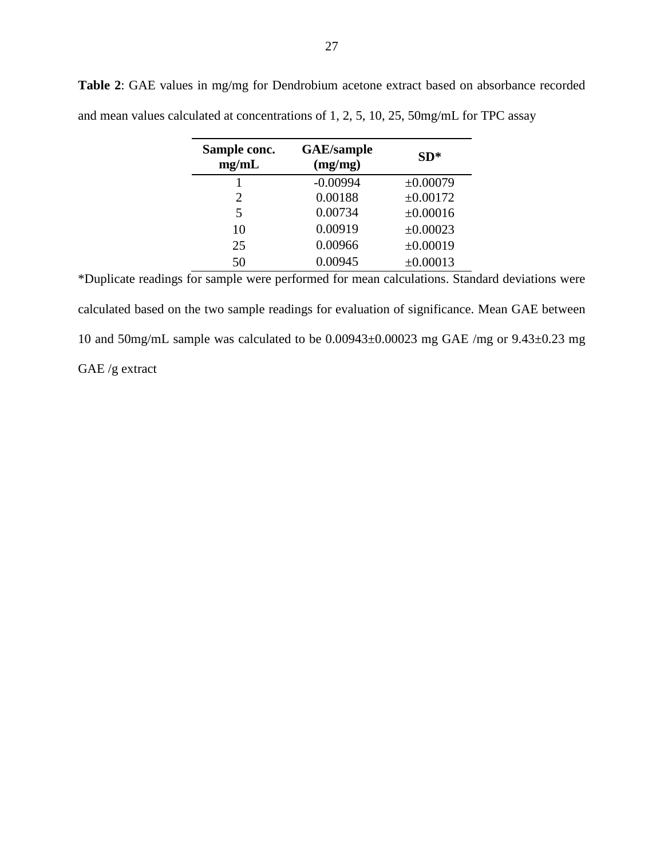| Sample conc.<br>mg/mL | <b>GAE</b> /sample<br>(mg/mg) | $SD*$    |
|-----------------------|-------------------------------|----------|
|                       | $-0.00994$                    | ±0.00079 |
| 2                     | 0.00188                       | ±0.00172 |
| 5                     | 0.00734                       | ±0.00016 |
| 10                    | 0.00919                       | ±0.00023 |
| 25                    | 0.00966                       | ±0.00019 |
| 50                    | 0.00945                       | ±0.00013 |

<span id="page-35-0"></span>**Table 2**: GAE values in mg/mg for Dendrobium acetone extract based on absorbance recorded and mean values calculated at concentrations of 1, 2, 5, 10, 25, 50mg/mL for TPC assay

\*Duplicate readings for sample were performed for mean calculations. Standard deviations were calculated based on the two sample readings for evaluation of significance. Mean GAE between 10 and 50mg/mL sample was calculated to be 0.00943±0.00023 mg GAE /mg or 9.43±0.23 mg GAE /g extract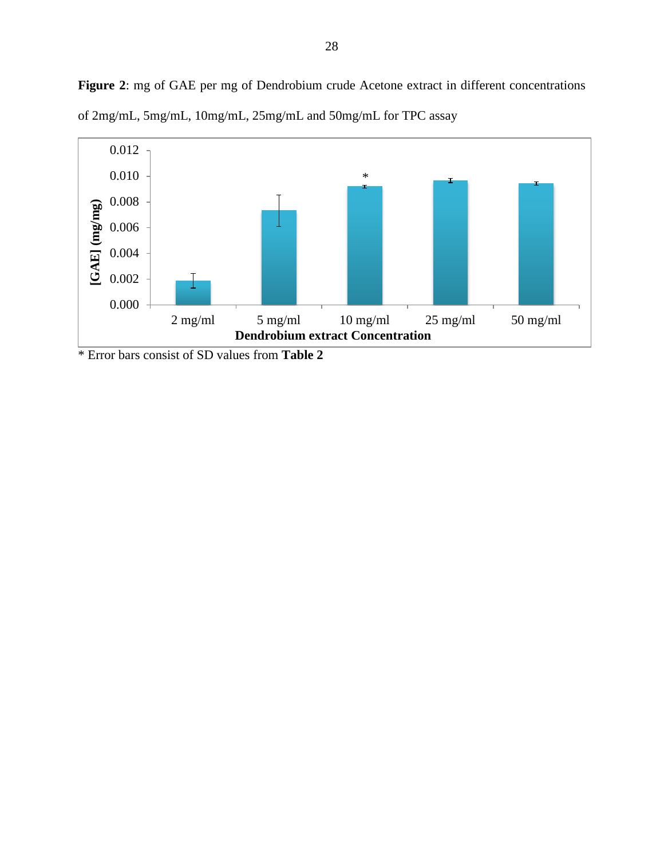

<span id="page-36-1"></span><span id="page-36-0"></span>Figure 2: mg of GAE per mg of Dendrobium crude Acetone extract in different concentrations of 2mg/mL, 5mg/mL, 10mg/mL, 25mg/mL and 50mg/mL for TPC assay

\* Error bars consist of SD values from **[Table 2](#page-35-0)**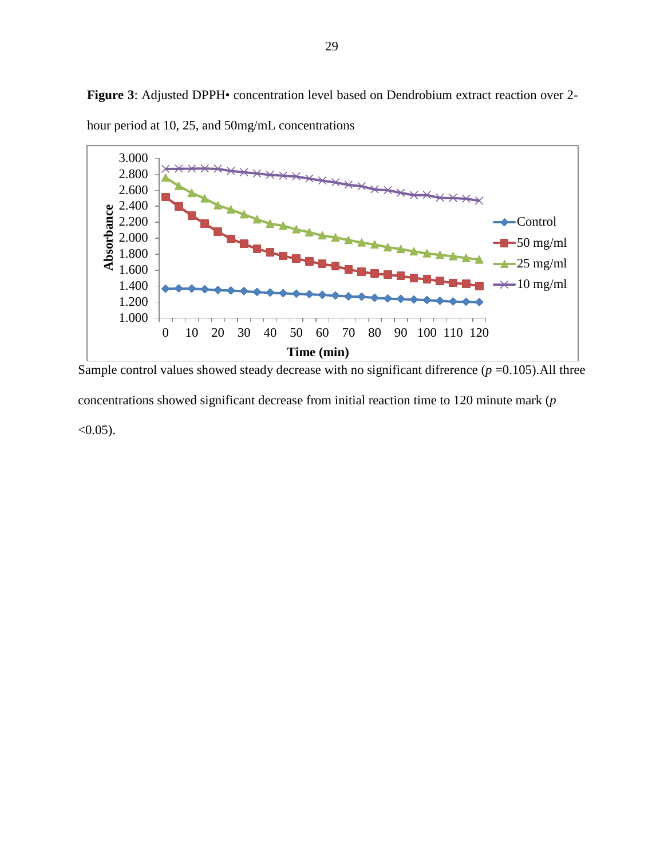

<span id="page-37-0"></span>**Figure 3**: Adjusted DPPH• concentration level based on Dendrobium extract reaction over 2-

hour period at 10, 25, and 50mg/mL concentrations

Sample control values showed steady decrease with no significant difrerence  $(p=0.105)$ .All three concentrations showed significant decrease from initial reaction time to 120 minute mark (*p*  $< 0.05$ ).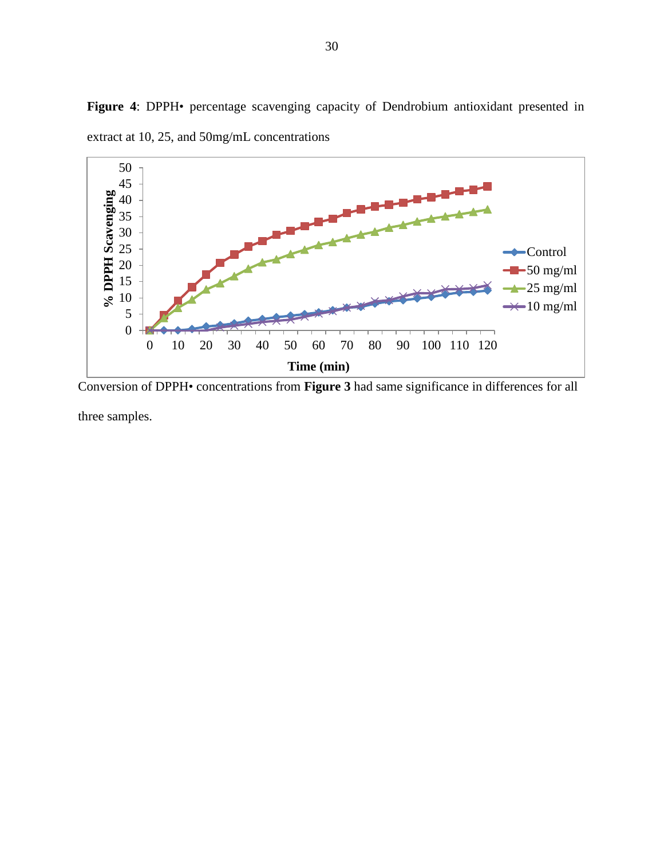

<span id="page-38-0"></span>**Figure 4**: DPPH• percentage scavenging capacity of Dendrobium antioxidant presented in extract at 10, 25, and 50mg/mL concentrations

Conversion of DPPH• concentrations from **[Figure 3](#page-36-1)** had same significance in differences for all

three samples.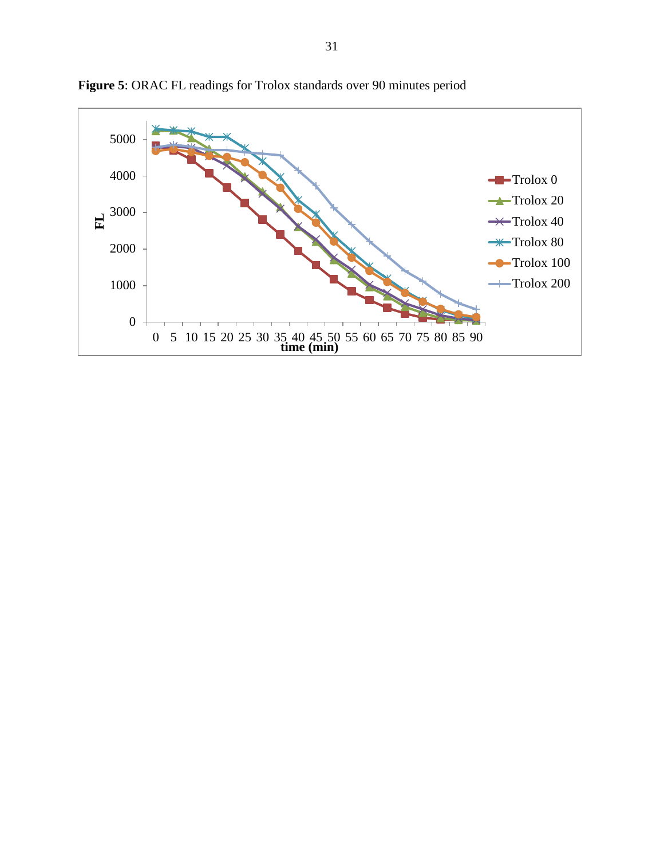

<span id="page-39-0"></span>**Figure 5**: ORAC FL readings for Trolox standards over 90 minutes period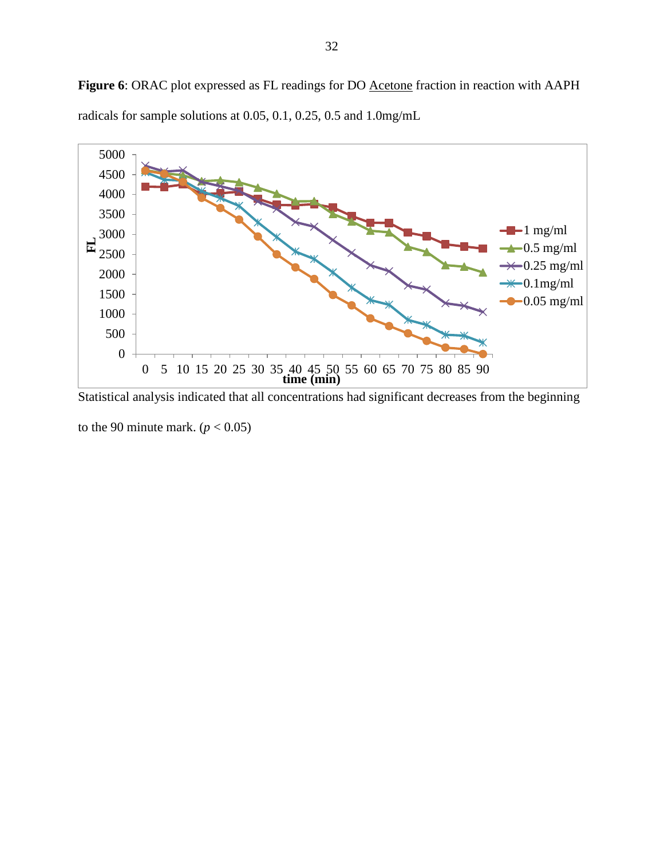<span id="page-40-0"></span>Figure 6: ORAC plot expressed as FL readings for DO **Acetone** fraction in reaction with AAPH radicals for sample solutions at 0.05, 0.1, 0.25, 0.5 and 1.0mg/mL



Statistical analysis indicated that all concentrations had significant decreases from the beginning

to the 90 minute mark.  $(p < 0.05)$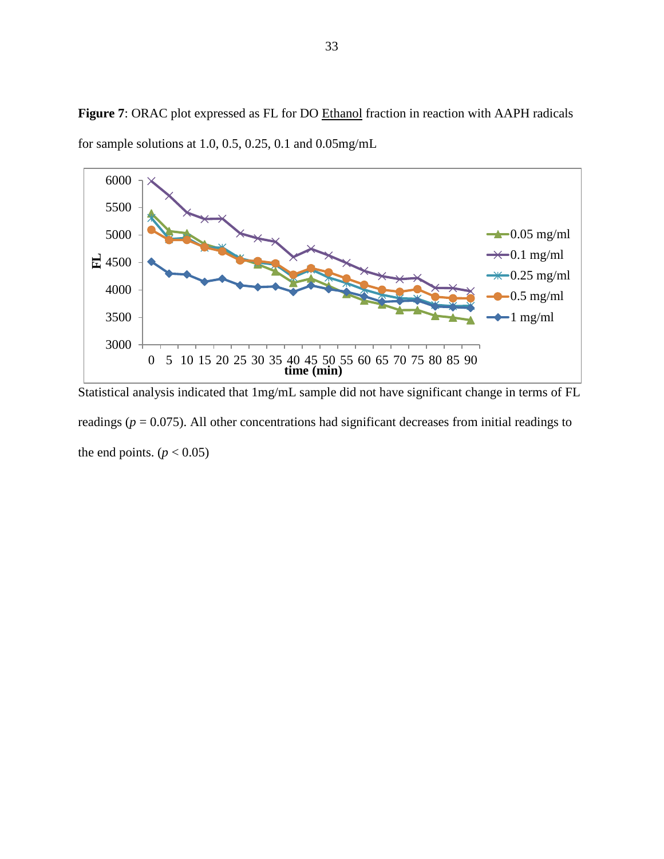

<span id="page-41-0"></span>Figure 7: ORAC plot expressed as FL for DO Ethanol fraction in reaction with AAPH radicals for sample solutions at 1.0, 0.5, 0.25, 0.1 and 0.05mg/mL

Statistical analysis indicated that 1mg/mL sample did not have significant change in terms of FL readings ( $p = 0.075$ ). All other concentrations had significant decreases from initial readings to the end points.  $(p < 0.05)$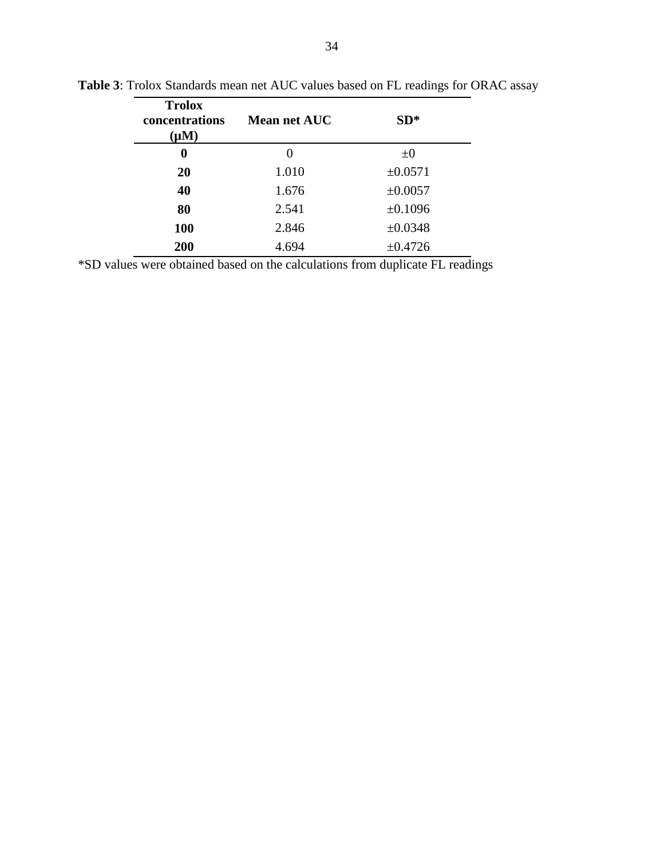| <b>Trolox</b><br>concentrations<br>$(\mu M)$ | Mean net AUC | $SD*$        |
|----------------------------------------------|--------------|--------------|
| 0                                            | $\theta$     | $\pm 0$      |
| 20                                           | 1.010        | $\pm 0.0571$ |
| 40                                           | 1.676        | $\pm 0.0057$ |
| 80                                           | 2.541        | ±0.1096      |
| <b>100</b>                                   | 2.846        | $\pm 0.0348$ |
| 200                                          | 4.694        | $\pm 0.4726$ |

<span id="page-42-0"></span>**Table 3**: Trolox Standards mean net AUC values based on FL readings for ORAC assay

\*SD values were obtained based on the calculations from duplicate FL readings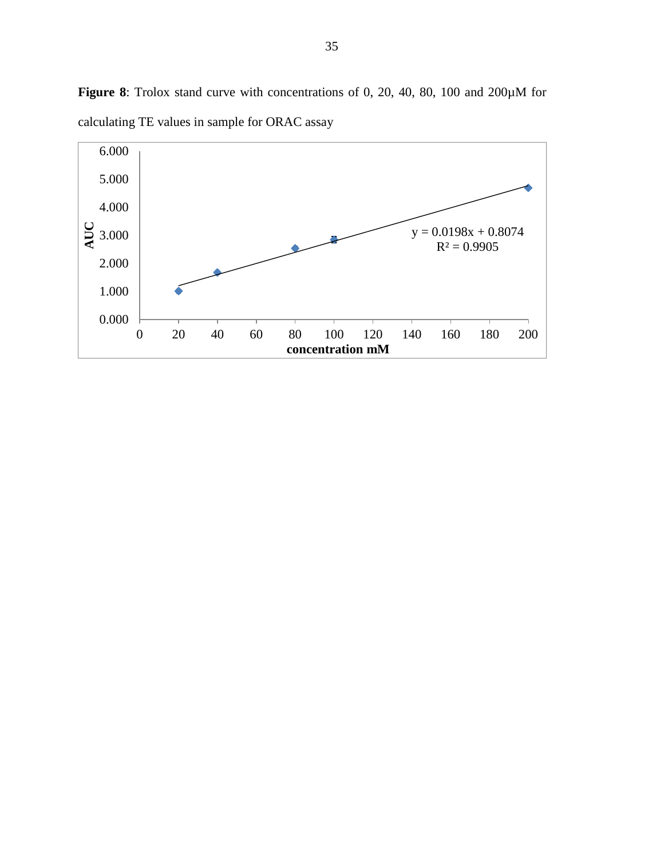

<span id="page-43-0"></span>**Figure 8**: Trolox stand curve with concentrations of 0, 20, 40, 80, 100 and 200µM for calculating TE values in sample for ORAC assay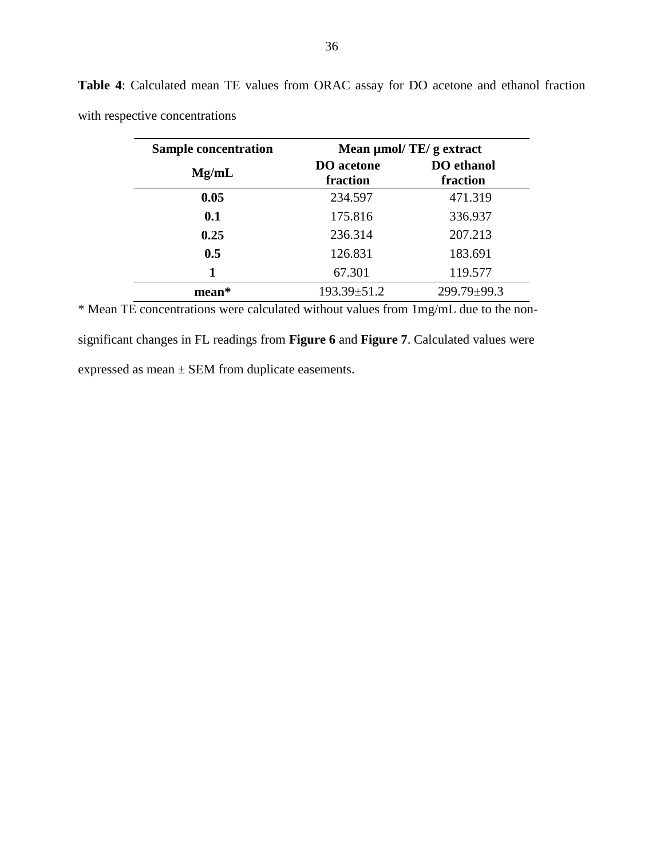| <b>Sample concentration</b> | Mean µmol/ TE/ g extract      |                               |  |
|-----------------------------|-------------------------------|-------------------------------|--|
| Mg/mL                       | <b>DO</b> acetone<br>fraction | <b>DO</b> ethanol<br>fraction |  |
| 0.05                        | 234.597                       | 471.319                       |  |
| 0.1                         | 175.816                       | 336.937                       |  |
| 0.25                        | 236.314                       | 207.213                       |  |
| 0.5                         | 126.831                       | 183.691                       |  |
|                             | 67.301                        | 119.577                       |  |
| mean*                       | $193.39 \pm 51.2$             | 299.79±99.3                   |  |

<span id="page-44-0"></span>**Table 4**: Calculated mean TE values from ORAC assay for DO acetone and ethanol fraction with respective concentrations

\* Mean TE concentrations were calculated without values from 1mg/mL due to the nonsignificant changes in FL readings from **[Figure 6](#page-40-0)** and **[Figure 7](#page-41-0)**. Calculated values were

expressed as mean ± SEM from duplicate easements.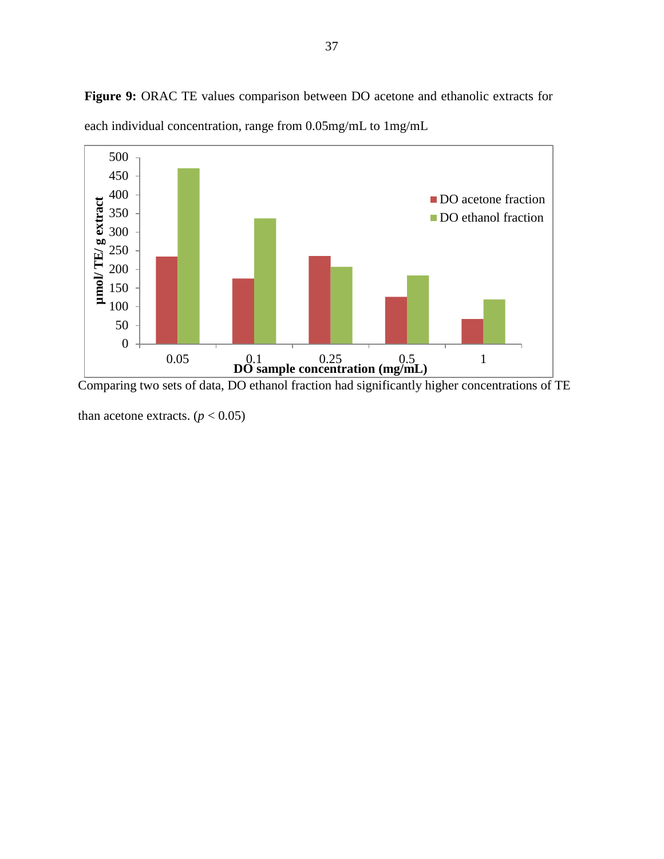

<span id="page-45-0"></span>Figure 9: ORAC TE values comparison between DO acetone and ethanolic extracts for each individual concentration, range from 0.05mg/mL to 1mg/mL

Comparing two sets of data, DO ethanol fraction had significantly higher concentrations of TE

than acetone extracts.  $(p < 0.05)$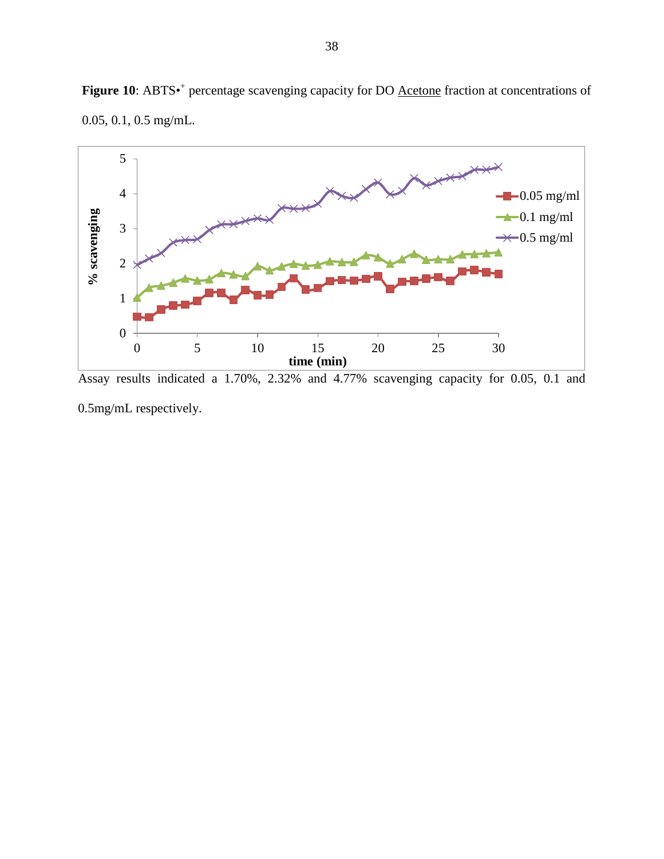

<span id="page-46-0"></span>Figure 10: ABTS<sup>++</sup> percentage scavenging capacity for DO Acetone fraction at concentrations of 0.05, 0.1, 0.5 mg/mL.

Assay results indicated a 1.70%, 2.32% and 4.77% scavenging capacity for 0.05, 0.1 and 0.5mg/mL respectively.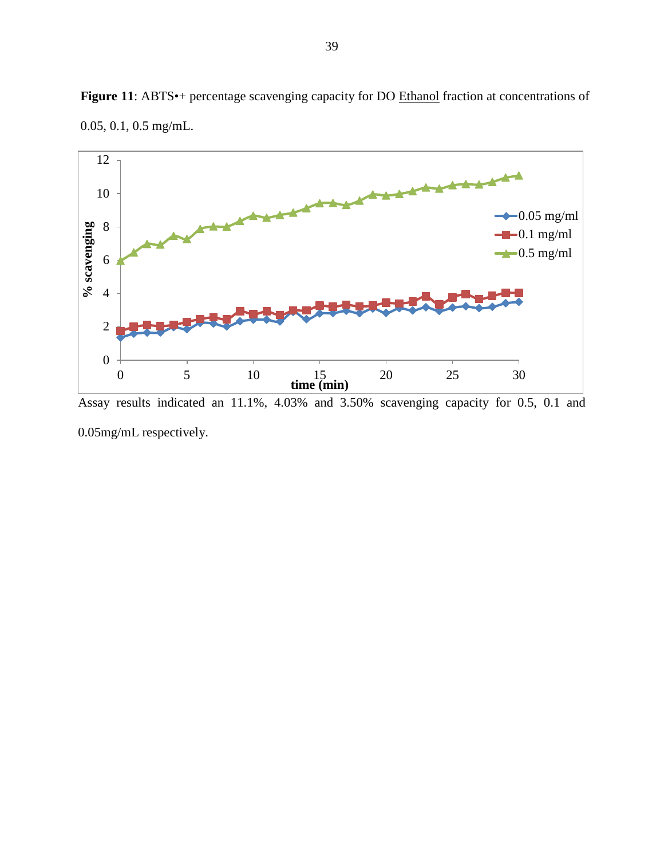

<span id="page-47-0"></span>Figure 11: ABTS<sup>•+</sup> percentage scavenging capacity for DO Ethanol fraction at concentrations of 0.05, 0.1, 0.5 mg/mL.

Assay results indicated an 11.1%, 4.03% and 3.50% scavenging capacity for 0.5, 0.1 and 0.05mg/mL respectively.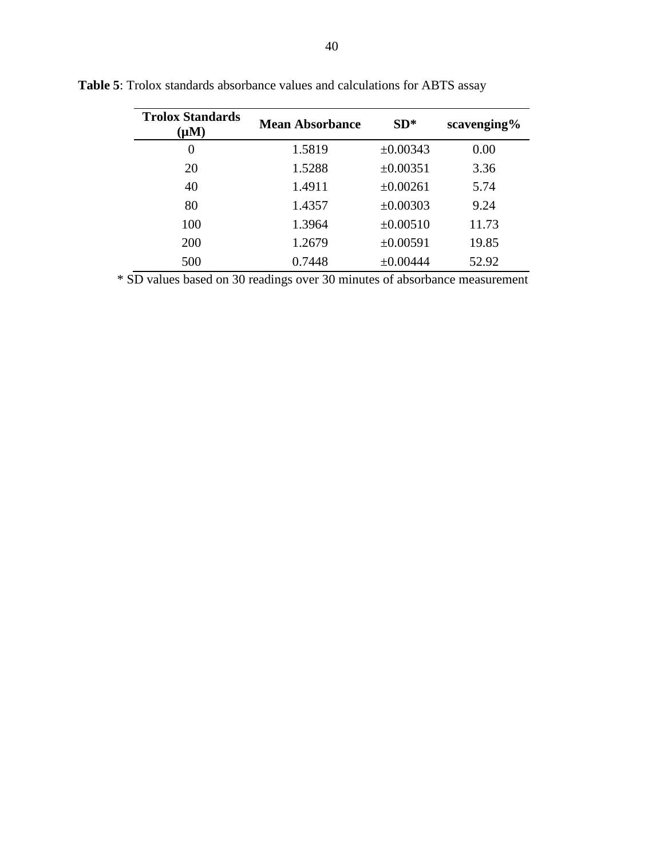| <b>Trolox Standards</b><br>$\mu$ M) | <b>Mean Absorbance</b> | $SD*$         | scavenging% |
|-------------------------------------|------------------------|---------------|-------------|
| $\theta$                            | 1.5819                 | $\pm 0.00343$ | 0.00        |
| 20                                  | 1.5288                 | $\pm 0.00351$ | 3.36        |
| 40                                  | 1.4911                 | $\pm 0.00261$ | 5.74        |
| 80                                  | 1.4357                 | $\pm 0.00303$ | 9.24        |
| 100                                 | 1.3964                 | $\pm 0.00510$ | 11.73       |
| 200                                 | 1.2679                 | ±0.00591      | 19.85       |
| 500                                 | 0.7448                 | $\pm 0.00444$ | 52.92       |

<span id="page-48-0"></span>**Table 5**: Trolox standards absorbance values and calculations for ABTS assay

\* SD values based on 30 readings over 30 minutes of absorbance measurement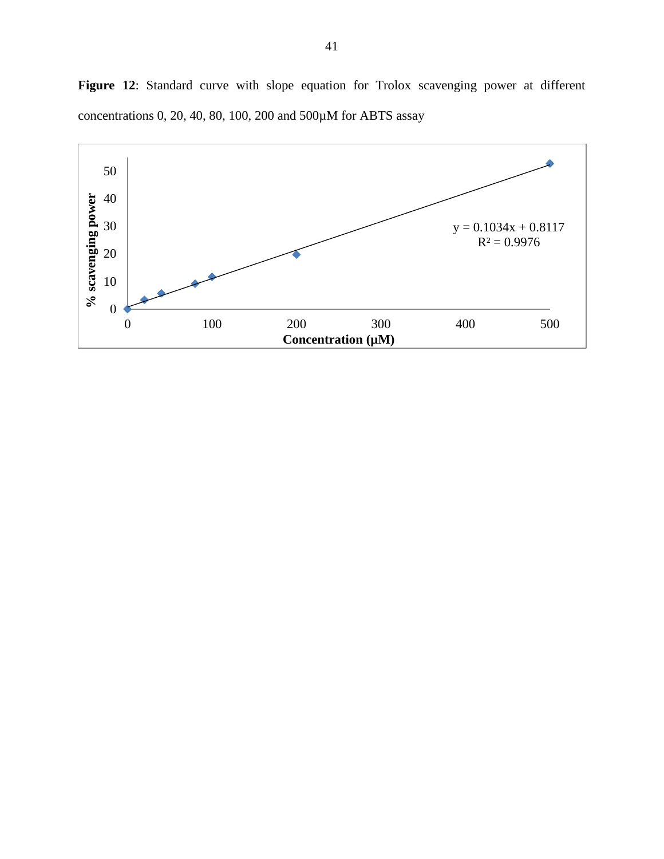<span id="page-49-0"></span>**Figure 12**: Standard curve with slope equation for Trolox scavenging power at different concentrations 0, 20, 40, 80, 100, 200 and 500µM for ABTS assay

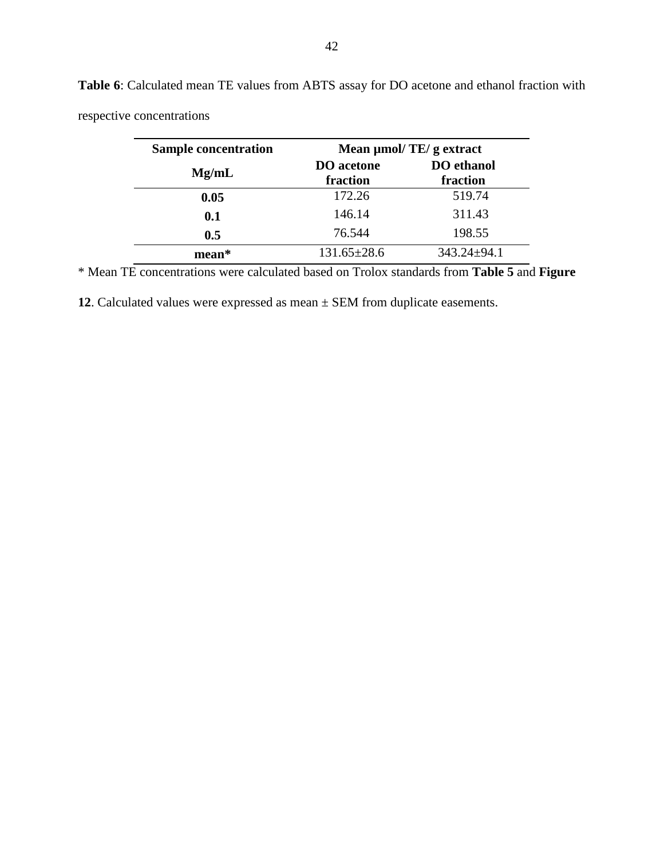| <b>Sample concentration</b> | Mean µmol/ TE/ g extract      |                   |  |
|-----------------------------|-------------------------------|-------------------|--|
| Mg/mL                       | <b>DO</b> acetone<br>fraction |                   |  |
| 0.05                        | 172.26                        | 519.74            |  |
| 0.1                         | 146.14                        | 311.43            |  |
| 0.5                         | 76.544                        | 198.55            |  |
| mean*                       | $131.65 \pm 28.6$             | $343.24 \pm 94.1$ |  |

<span id="page-50-0"></span>**Table 6**: Calculated mean TE values from ABTS assay for DO acetone and ethanol fraction with respective concentrations

\* Mean TE concentrations were calculated based on Trolox standards from **[Table 5](#page-48-0)** and **[Figure](#page-49-0)** 

**[12](#page-49-0)**. Calculated values were expressed as mean ± SEM from duplicate easements.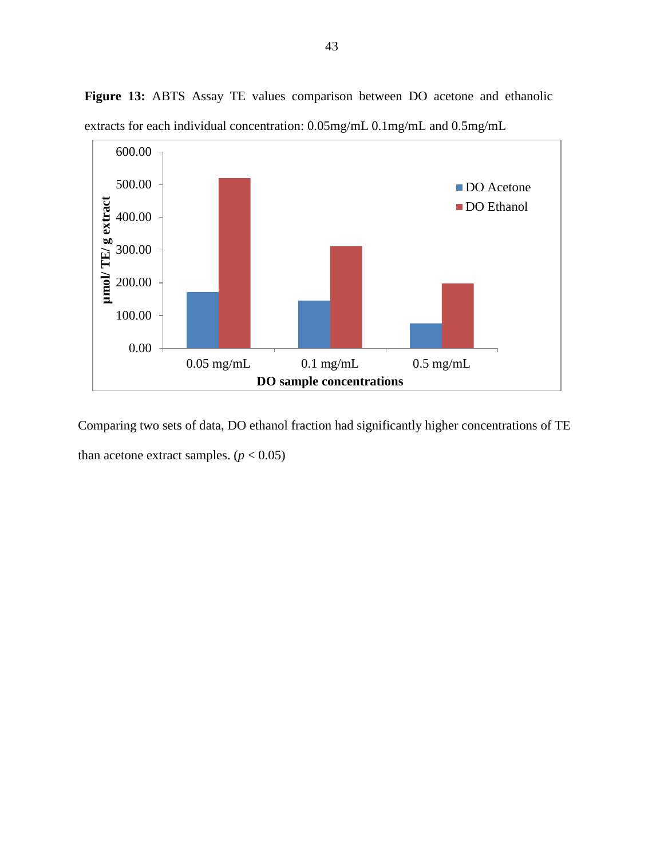

<span id="page-51-0"></span>**Figure 13:** ABTS Assay TE values comparison between DO acetone and ethanolic

Comparing two sets of data, DO ethanol fraction had significantly higher concentrations of TE than acetone extract samples.  $(p < 0.05)$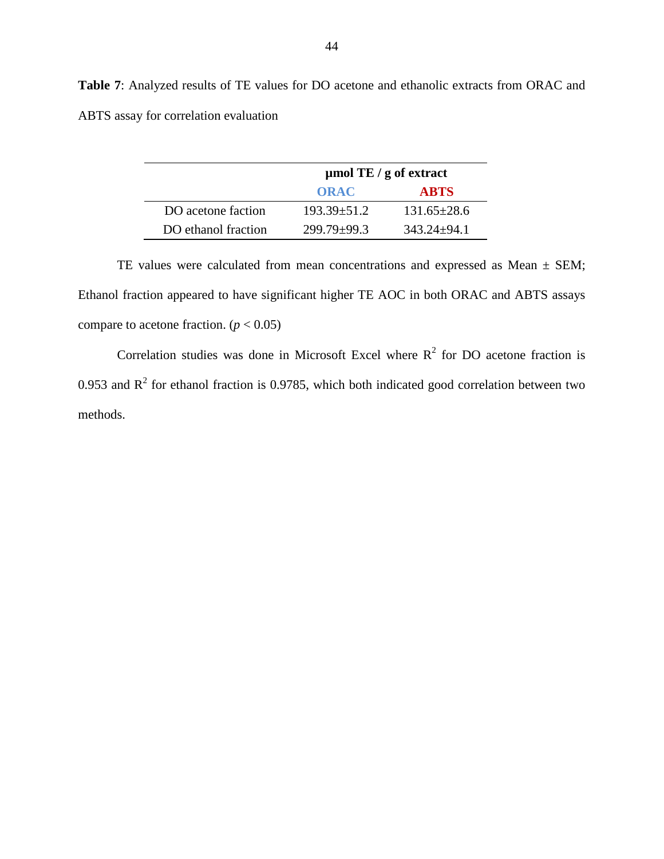|                     | $\mu$ mol TE / g of extract |                   |
|---------------------|-----------------------------|-------------------|
|                     | ORAC                        | <b>ABTS</b>       |
| DO acetone faction  | $193.39 \pm 51.2$           | $131.65 \pm 28.6$ |
| DO ethanol fraction | $299.79 + 99.3$             | $343.24 + 94.1$   |

<span id="page-52-0"></span>**Table 7**: Analyzed results of TE values for DO acetone and ethanolic extracts from ORAC and ABTS assay for correlation evaluation

TE values were calculated from mean concentrations and expressed as Mean  $\pm$  SEM; Ethanol fraction appeared to have significant higher TE AOC in both ORAC and ABTS assays compare to acetone fraction.  $(p < 0.05)$ 

Correlation studies was done in Microsoft Excel where  $R^2$  for DO acetone fraction is 0.953 and  $R^2$  for ethanol fraction is 0.9785, which both indicated good correlation between two methods.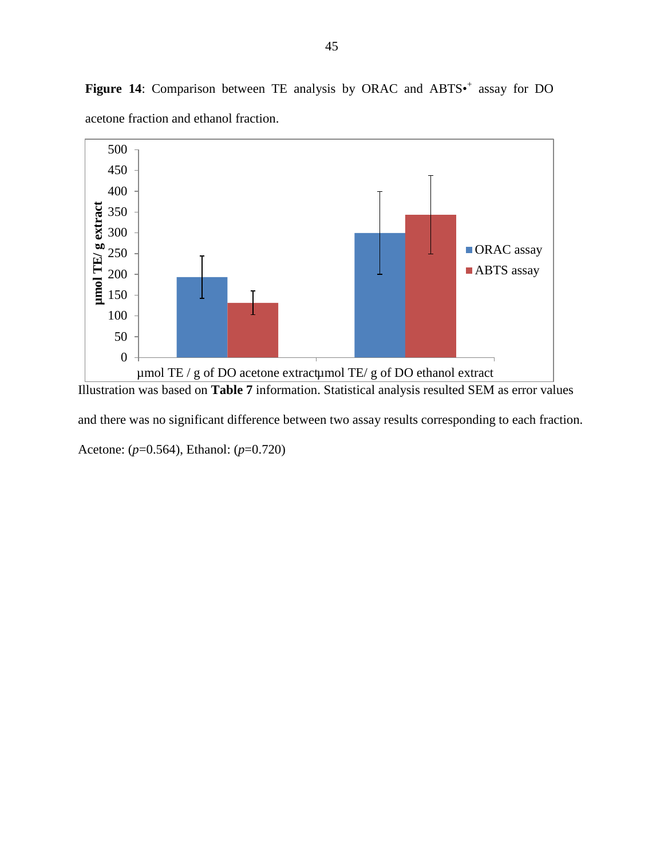

<span id="page-53-0"></span>Figure 14: Comparison between TE analysis by ORAC and ABTS<sup>+</sup> assay for DO acetone fraction and ethanol fraction.

and there was no significant difference between two assay results corresponding to each fraction.

Acetone: (*p*=0.564), Ethanol: (*p*=0.720)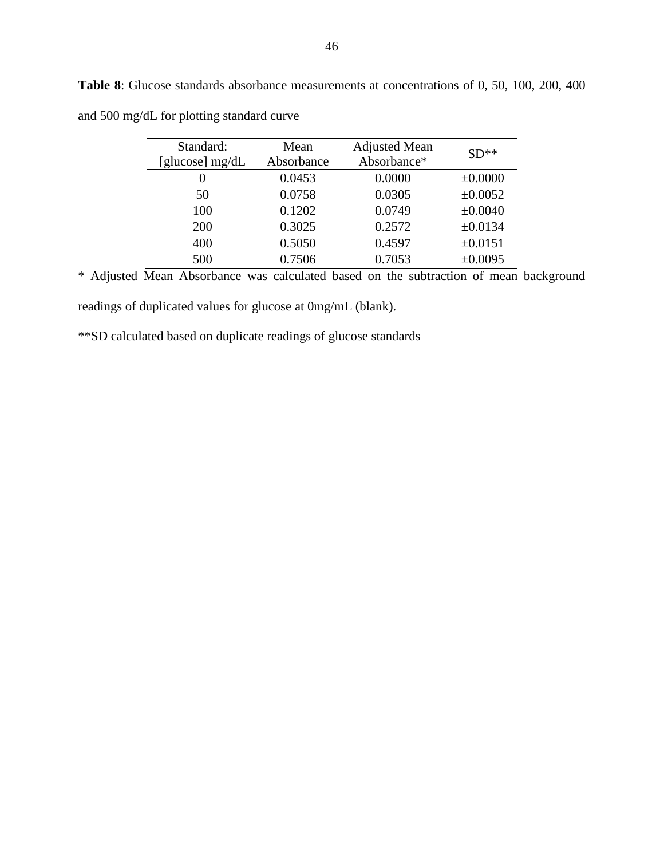| Standard:<br>[glucose] $mg/dL$ | Mean<br>Absorbance | <b>Adjusted Mean</b><br>Absorbance* | $SD**$       |
|--------------------------------|--------------------|-------------------------------------|--------------|
| 0                              | 0.0453             | 0.0000                              | ±0.0000      |
| 50                             | 0.0758             | 0.0305                              | $\pm 0.0052$ |
| 100                            | 0.1202             | 0.0749                              | ±0.0040      |
| 200                            | 0.3025             | 0.2572                              | ±0.0134      |
| 400                            | 0.5050             | 0.4597                              | $\pm 0.0151$ |
| 500                            | 0.7506             | 0.7053                              | ±0.0095      |

<span id="page-54-0"></span>**Table 8**: Glucose standards absorbance measurements at concentrations of 0, 50, 100, 200, 400 and 500 mg/dL for plotting standard curve

\* Adjusted Mean Absorbance was calculated based on the subtraction of mean background

readings of duplicated values for glucose at 0mg/mL (blank).

\*\*SD calculated based on duplicate readings of glucose standards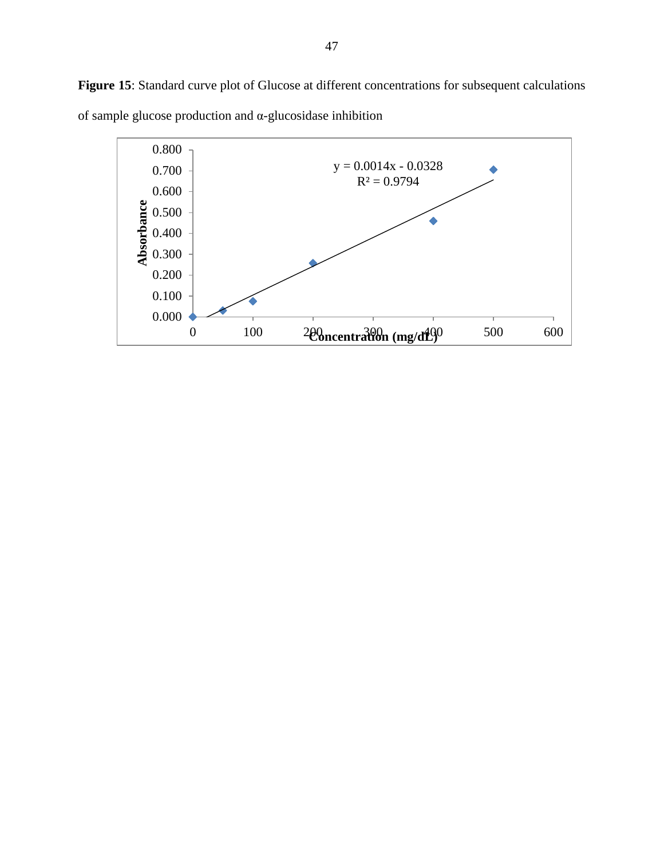<span id="page-55-0"></span>Figure 15: Standard curve plot of Glucose at different concentrations for subsequent calculations of sample glucose production and  $\alpha$ -glucosidase inhibition

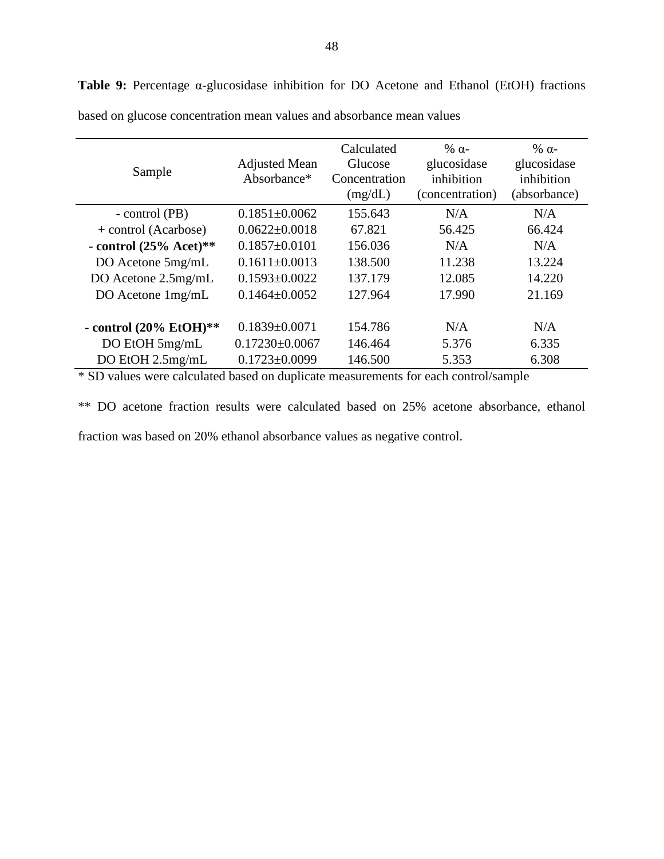| Sample                             | <b>Adjusted Mean</b><br>Absorbance* | Calculated<br>Glucose<br>Concentration<br>(mg/dL) | % $\alpha$ -<br>glucosidase<br>inhibition<br>(concentration) | % $\alpha$ -<br>glucosidase<br>inhibition<br>(absorbance) |
|------------------------------------|-------------------------------------|---------------------------------------------------|--------------------------------------------------------------|-----------------------------------------------------------|
| - control (PB)                     | $0.1851 \pm 0.0062$                 | 155.643                                           | N/A                                                          | N/A                                                       |
| + control (Acarbose)               | $0.0622 \pm 0.0018$                 | 67.821                                            | 56.425                                                       | 66.424                                                    |
| - control $(25%$ Acet)**           | $0.1857 \pm 0.0101$                 | 156.036                                           | N/A                                                          | N/A                                                       |
| DO Acetone 5mg/mL                  | $0.1611 \pm 0.0013$                 | 138.500                                           | 11.238                                                       | 13.224                                                    |
| DO Acetone 2.5mg/mL                | $0.1593 \pm 0.0022$                 | 137.179                                           | 12.085                                                       | 14.220                                                    |
| DO Acetone 1mg/mL                  | $0.1464 \pm 0.0052$                 | 127.964                                           | 17.990                                                       | 21.169                                                    |
|                                    |                                     |                                                   |                                                              |                                                           |
| - control $(20\% \text{ EtOH})$ ** | $0.1839 \pm 0.0071$                 | 154.786                                           | N/A                                                          | N/A                                                       |
| DO EtOH 5mg/mL                     | $0.17230 \pm 0.0067$                | 146.464                                           | 5.376                                                        | 6.335                                                     |
| DO EtOH 2.5mg/mL                   | $0.1723 \pm 0.0099$                 | 146.500                                           | 5.353                                                        | 6.308                                                     |

<span id="page-56-0"></span>**Table 9:** Percentage α-glucosidase inhibition for DO Acetone and Ethanol (EtOH) fractions based on glucose concentration mean values and absorbance mean values

\* SD values were calculated based on duplicate measurements for each control/sample

\*\* DO acetone fraction results were calculated based on 25% acetone absorbance, ethanol fraction was based on 20% ethanol absorbance values as negative control.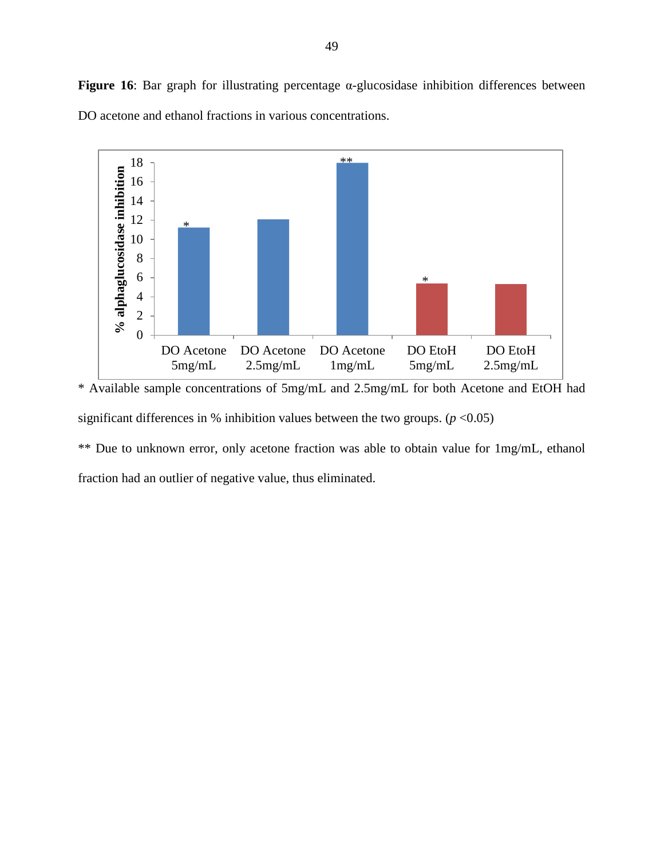<span id="page-57-0"></span>**Figure 16**: Bar graph for illustrating percentage α-glucosidase inhibition differences between DO acetone and ethanol fractions in various concentrations.



\* Available sample concentrations of 5mg/mL and 2.5mg/mL for both Acetone and EtOH had significant differences in % inhibition values between the two groups.  $(p < 0.05)$ 

\*\* Due to unknown error, only acetone fraction was able to obtain value for 1mg/mL, ethanol fraction had an outlier of negative value, thus eliminated.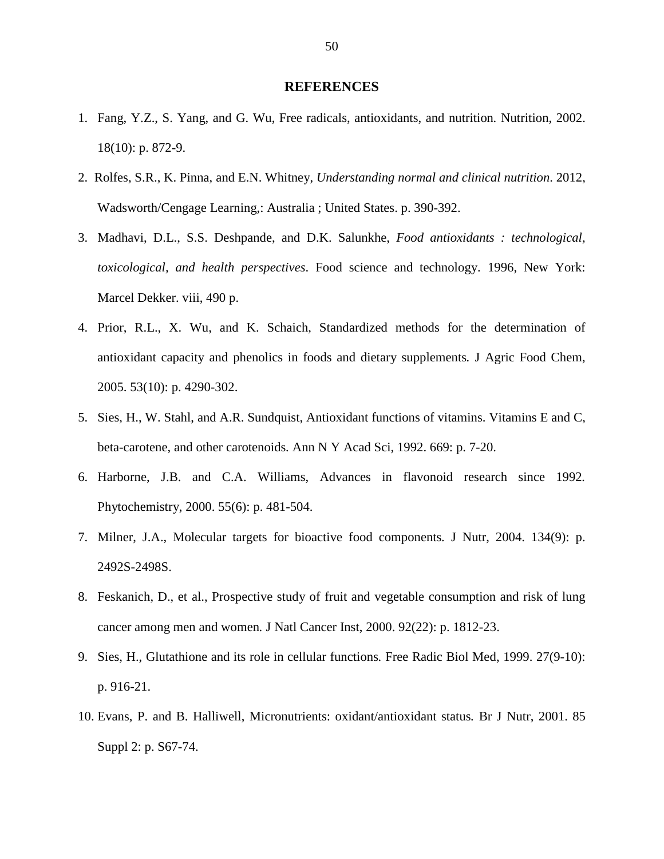#### **REFERENCES**

- <span id="page-58-1"></span><span id="page-58-0"></span>1. Fang, Y.Z., S. Yang, and G. Wu, Free radicals, antioxidants, and nutrition*.* Nutrition, 2002. 18(10): p. 872-9.
- <span id="page-58-2"></span>2. Rolfes, S.R., K. Pinna, and E.N. Whitney, *Understanding normal and clinical nutrition*. 2012, Wadsworth/Cengage Learning,: Australia ; United States. p. 390-392.
- <span id="page-58-3"></span>3. Madhavi, D.L., S.S. Deshpande, and D.K. Salunkhe, *Food antioxidants : technological, toxicological, and health perspectives*. Food science and technology. 1996, New York: Marcel Dekker. viii, 490 p.
- <span id="page-58-4"></span>4. Prior, R.L., X. Wu, and K. Schaich, Standardized methods for the determination of antioxidant capacity and phenolics in foods and dietary supplements*.* J Agric Food Chem, 2005. 53(10): p. 4290-302.
- <span id="page-58-5"></span>5. Sies, H., W. Stahl, and A.R. Sundquist, Antioxidant functions of vitamins. Vitamins E and C, beta-carotene, and other carotenoids*.* Ann N Y Acad Sci, 1992. 669: p. 7-20.
- <span id="page-58-6"></span>6. Harborne, J.B. and C.A. Williams, Advances in flavonoid research since 1992*.* Phytochemistry, 2000. 55(6): p. 481-504.
- <span id="page-58-7"></span>7. Milner, J.A., Molecular targets for bioactive food components*.* J Nutr, 2004. 134(9): p. 2492S-2498S.
- <span id="page-58-8"></span>8. Feskanich, D., et al., Prospective study of fruit and vegetable consumption and risk of lung cancer among men and women*.* J Natl Cancer Inst, 2000. 92(22): p. 1812-23.
- <span id="page-58-9"></span>9. Sies, H., Glutathione and its role in cellular functions*.* Free Radic Biol Med, 1999. 27(9-10): p. 916-21.
- <span id="page-58-10"></span>10. Evans, P. and B. Halliwell, Micronutrients: oxidant/antioxidant status*.* Br J Nutr, 2001. 85 Suppl 2: p. S67-74.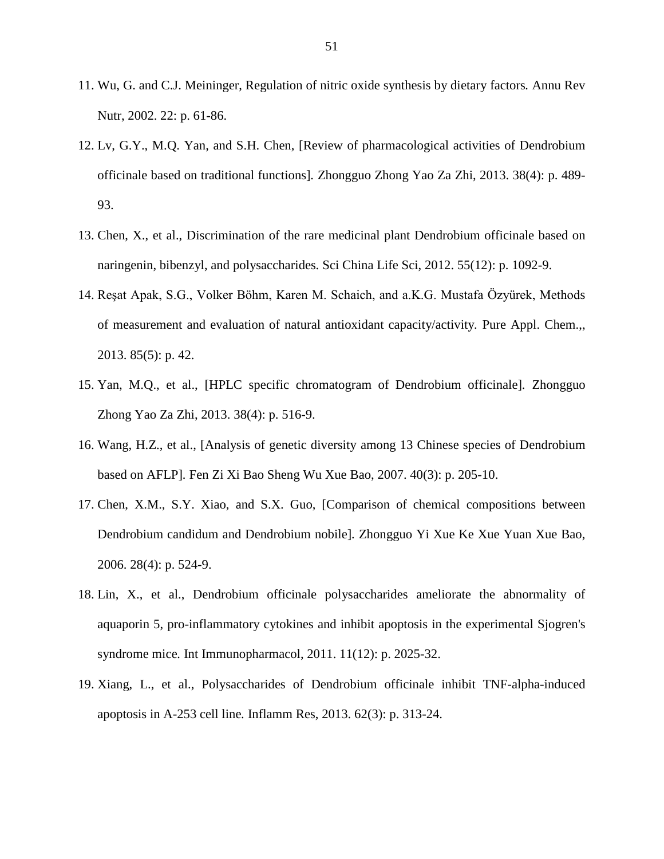- <span id="page-59-0"></span>11. Wu, G. and C.J. Meininger, Regulation of nitric oxide synthesis by dietary factors*.* Annu Rev Nutr, 2002. 22: p. 61-86.
- <span id="page-59-1"></span>12. Lv, G.Y., M.Q. Yan, and S.H. Chen, [Review of pharmacological activities of Dendrobium officinale based on traditional functions]*.* Zhongguo Zhong Yao Za Zhi, 2013. 38(4): p. 489- 93.
- <span id="page-59-2"></span>13. Chen, X., et al., Discrimination of the rare medicinal plant Dendrobium officinale based on naringenin, bibenzyl, and polysaccharides*.* Sci China Life Sci, 2012. 55(12): p. 1092-9.
- <span id="page-59-3"></span>14. Reşat Apak, S.G., Volker Böhm, Karen M. Schaich, and a.K.G. Mustafa Özyürek, Methods of measurement and evaluation of natural antioxidant capacity/activity*.* Pure Appl. Chem.,, 2013. 85(5): p. 42.
- <span id="page-59-4"></span>15. Yan, M.Q., et al., [HPLC specific chromatogram of Dendrobium officinale]*.* Zhongguo Zhong Yao Za Zhi, 2013. 38(4): p. 516-9.
- <span id="page-59-5"></span>16. Wang, H.Z., et al., [Analysis of genetic diversity among 13 Chinese species of Dendrobium based on AFLP]*.* Fen Zi Xi Bao Sheng Wu Xue Bao, 2007. 40(3): p. 205-10.
- <span id="page-59-6"></span>17. Chen, X.M., S.Y. Xiao, and S.X. Guo, [Comparison of chemical compositions between Dendrobium candidum and Dendrobium nobile]*.* Zhongguo Yi Xue Ke Xue Yuan Xue Bao, 2006. 28(4): p. 524-9.
- <span id="page-59-7"></span>18. Lin, X., et al., Dendrobium officinale polysaccharides ameliorate the abnormality of aquaporin 5, pro-inflammatory cytokines and inhibit apoptosis in the experimental Sjogren's syndrome mice*.* Int Immunopharmacol, 2011. 11(12): p. 2025-32.
- <span id="page-59-8"></span>19. Xiang, L., et al., Polysaccharides of Dendrobium officinale inhibit TNF-alpha-induced apoptosis in A-253 cell line*.* Inflamm Res, 2013. 62(3): p. 313-24.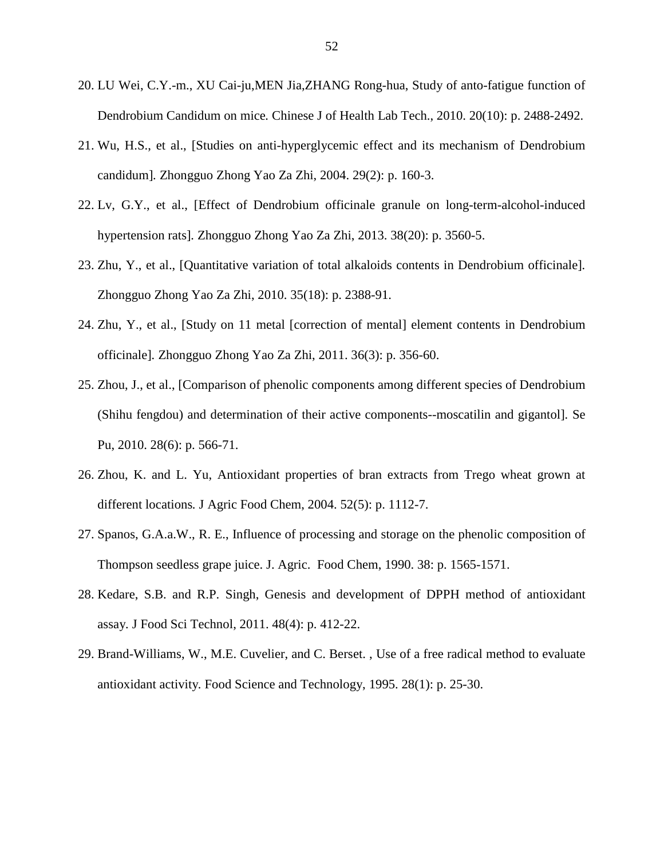- <span id="page-60-0"></span>20. LU Wei, C.Y.-m., XU Cai-ju,MEN Jia,ZHANG Rong-hua, Study of anto-fatigue function of Dendrobium Candidum on mice*.* Chinese J of Health Lab Tech., 2010. 20(10): p. 2488-2492.
- <span id="page-60-1"></span>21. Wu, H.S., et al., [Studies on anti-hyperglycemic effect and its mechanism of Dendrobium candidum]*.* Zhongguo Zhong Yao Za Zhi, 2004. 29(2): p. 160-3.
- <span id="page-60-2"></span>22. Lv, G.Y., et al., [Effect of Dendrobium officinale granule on long-term-alcohol-induced hypertension rats]*.* Zhongguo Zhong Yao Za Zhi, 2013. 38(20): p. 3560-5.
- <span id="page-60-3"></span>23. Zhu, Y., et al., [Quantitative variation of total alkaloids contents in Dendrobium officinale]*.* Zhongguo Zhong Yao Za Zhi, 2010. 35(18): p. 2388-91.
- <span id="page-60-4"></span>24. Zhu, Y., et al., [Study on 11 metal [correction of mental] element contents in Dendrobium officinale]*.* Zhongguo Zhong Yao Za Zhi, 2011. 36(3): p. 356-60.
- <span id="page-60-5"></span>25. Zhou, J., et al., [Comparison of phenolic components among different species of Dendrobium (Shihu fengdou) and determination of their active components--moscatilin and gigantol]*.* Se Pu, 2010. 28(6): p. 566-71.
- <span id="page-60-6"></span>26. Zhou, K. and L. Yu, Antioxidant properties of bran extracts from Trego wheat grown at different locations*.* J Agric Food Chem, 2004. 52(5): p. 1112-7.
- <span id="page-60-7"></span>27. Spanos, G.A.a.W., R. E., Influence of processing and storage on the phenolic composition of Thompson seedless grape juice. J. Agric. Food Chem, 1990. 38: p. 1565-1571.
- <span id="page-60-8"></span>28. Kedare, S.B. and R.P. Singh, Genesis and development of DPPH method of antioxidant assay*.* J Food Sci Technol, 2011. 48(4): p. 412-22.
- <span id="page-60-9"></span>29. Brand-Williams, W., M.E. Cuvelier, and C. Berset. , Use of a free radical method to evaluate antioxidant activity*.* Food Science and Technology, 1995. 28(1): p. 25-30.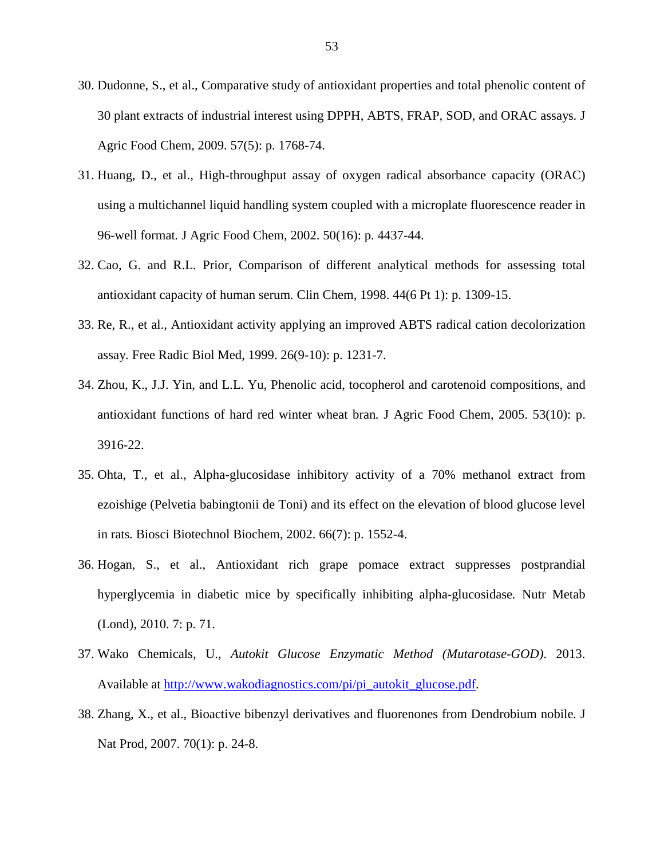- <span id="page-61-0"></span>30. Dudonne, S., et al., Comparative study of antioxidant properties and total phenolic content of 30 plant extracts of industrial interest using DPPH, ABTS, FRAP, SOD, and ORAC assays*.* J Agric Food Chem, 2009. 57(5): p. 1768-74.
- <span id="page-61-1"></span>31. Huang, D., et al., High-throughput assay of oxygen radical absorbance capacity (ORAC) using a multichannel liquid handling system coupled with a microplate fluorescence reader in 96-well format*.* J Agric Food Chem, 2002. 50(16): p. 4437-44.
- <span id="page-61-2"></span>32. Cao, G. and R.L. Prior, Comparison of different analytical methods for assessing total antioxidant capacity of human serum*.* Clin Chem, 1998. 44(6 Pt 1): p. 1309-15.
- <span id="page-61-3"></span>33. Re, R., et al., Antioxidant activity applying an improved ABTS radical cation decolorization assay*.* Free Radic Biol Med, 1999. 26(9-10): p. 1231-7.
- <span id="page-61-4"></span>34. Zhou, K., J.J. Yin, and L.L. Yu, Phenolic acid, tocopherol and carotenoid compositions, and antioxidant functions of hard red winter wheat bran*.* J Agric Food Chem, 2005. 53(10): p. 3916-22.
- <span id="page-61-5"></span>35. Ohta, T., et al., Alpha-glucosidase inhibitory activity of a 70% methanol extract from ezoishige (Pelvetia babingtonii de Toni) and its effect on the elevation of blood glucose level in rats*.* Biosci Biotechnol Biochem, 2002. 66(7): p. 1552-4.
- <span id="page-61-6"></span>36. Hogan, S., et al., Antioxidant rich grape pomace extract suppresses postprandial hyperglycemia in diabetic mice by specifically inhibiting alpha-glucosidase*.* Nutr Metab (Lond), 2010. 7: p. 71.
- <span id="page-61-7"></span>37. Wako Chemicals, U., *Autokit Glucose Enzymatic Method (Mutarotase-GOD)*. 2013. Available at [http://www.wakodiagnostics.com/pi/pi\\_autokit\\_glucose.pdf.](http://www.wakodiagnostics.com/pi/pi_autokit_glucose.pdf)
- <span id="page-61-8"></span>38. Zhang, X., et al., Bioactive bibenzyl derivatives and fluorenones from Dendrobium nobile*.* J Nat Prod, 2007. 70(1): p. 24-8.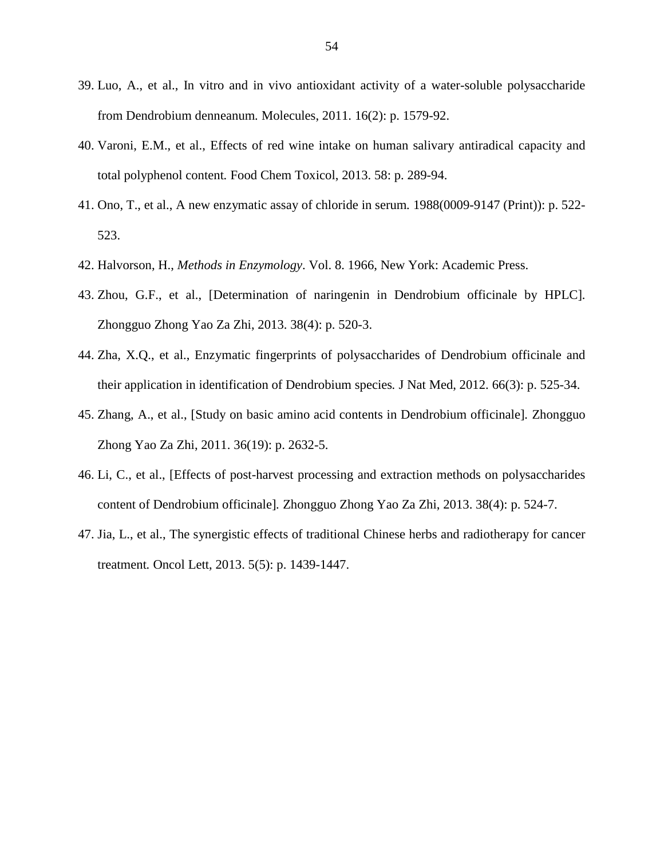- <span id="page-62-0"></span>39. Luo, A., et al., In vitro and in vivo antioxidant activity of a water-soluble polysaccharide from Dendrobium denneanum*.* Molecules, 2011. 16(2): p. 1579-92.
- <span id="page-62-1"></span>40. Varoni, E.M., et al., Effects of red wine intake on human salivary antiradical capacity and total polyphenol content*.* Food Chem Toxicol, 2013. 58: p. 289-94.
- <span id="page-62-2"></span>41. Ono, T., et al., A new enzymatic assay of chloride in serum*.* 1988(0009-9147 (Print)): p. 522- 523.
- <span id="page-62-3"></span>42. Halvorson, H., *Methods in Enzymology*. Vol. 8. 1966, New York: Academic Press.
- <span id="page-62-4"></span>43. Zhou, G.F., et al., [Determination of naringenin in Dendrobium officinale by HPLC]*.* Zhongguo Zhong Yao Za Zhi, 2013. 38(4): p. 520-3.
- <span id="page-62-5"></span>44. Zha, X.Q., et al., Enzymatic fingerprints of polysaccharides of Dendrobium officinale and their application in identification of Dendrobium species*.* J Nat Med, 2012. 66(3): p. 525-34.
- <span id="page-62-6"></span>45. Zhang, A., et al., [Study on basic amino acid contents in Dendrobium officinale]*.* Zhongguo Zhong Yao Za Zhi, 2011. 36(19): p. 2632-5.
- <span id="page-62-7"></span>46. Li, C., et al., [Effects of post-harvest processing and extraction methods on polysaccharides content of Dendrobium officinale]*.* Zhongguo Zhong Yao Za Zhi, 2013. 38(4): p. 524-7.
- <span id="page-62-8"></span>47. Jia, L., et al., The synergistic effects of traditional Chinese herbs and radiotherapy for cancer treatment*.* Oncol Lett, 2013. 5(5): p. 1439-1447.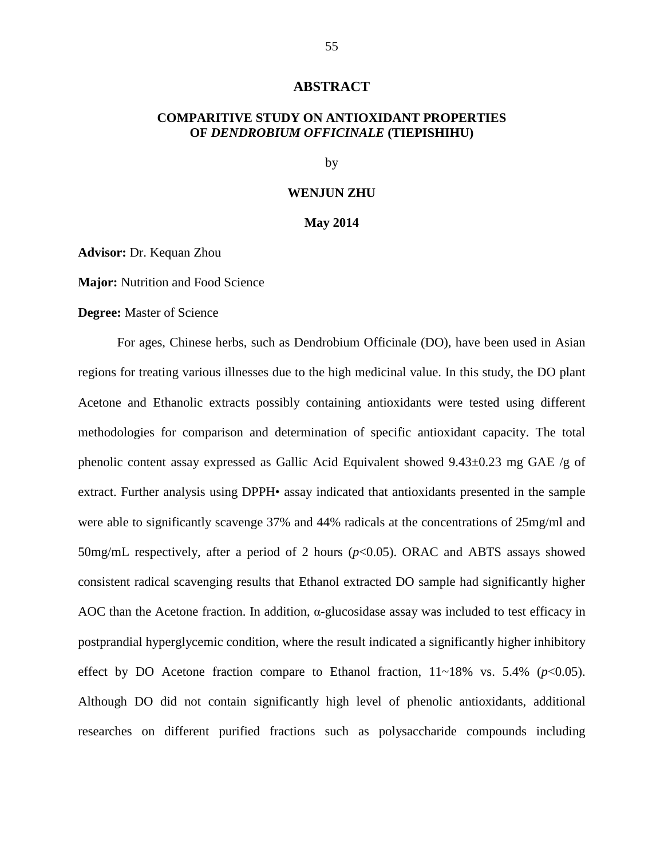#### **ABSTRACT**

#### <span id="page-63-0"></span>**COMPARITIVE STUDY ON ANTIOXIDANT PROPERTIES OF** *DENDROBIUM OFFICINALE* **(TIEPISHIHU)**

by

#### **WENJUN ZHU**

#### **May 2014**

**Advisor:** Dr. Kequan Zhou

**Major:** Nutrition and Food Science

#### **Degree:** Master of Science

For ages, Chinese herbs, such as Dendrobium Officinale (DO), have been used in Asian regions for treating various illnesses due to the high medicinal value. In this study, the DO plant Acetone and Ethanolic extracts possibly containing antioxidants were tested using different methodologies for comparison and determination of specific antioxidant capacity. The total phenolic content assay expressed as Gallic Acid Equivalent showed 9.43±0.23 mg GAE /g of extract. Further analysis using DPPH• assay indicated that antioxidants presented in the sample were able to significantly scavenge 37% and 44% radicals at the concentrations of 25mg/ml and 50mg/mL respectively, after a period of 2 hours (*p*<0.05). ORAC and ABTS assays showed consistent radical scavenging results that Ethanol extracted DO sample had significantly higher AOC than the Acetone fraction. In addition, α-glucosidase assay was included to test efficacy in postprandial hyperglycemic condition, where the result indicated a significantly higher inhibitory effect by DO Acetone fraction compare to Ethanol fraction,  $11~18\%$  vs. 5.4% ( $p<0.05$ ). Although DO did not contain significantly high level of phenolic antioxidants, additional researches on different purified fractions such as polysaccharide compounds including